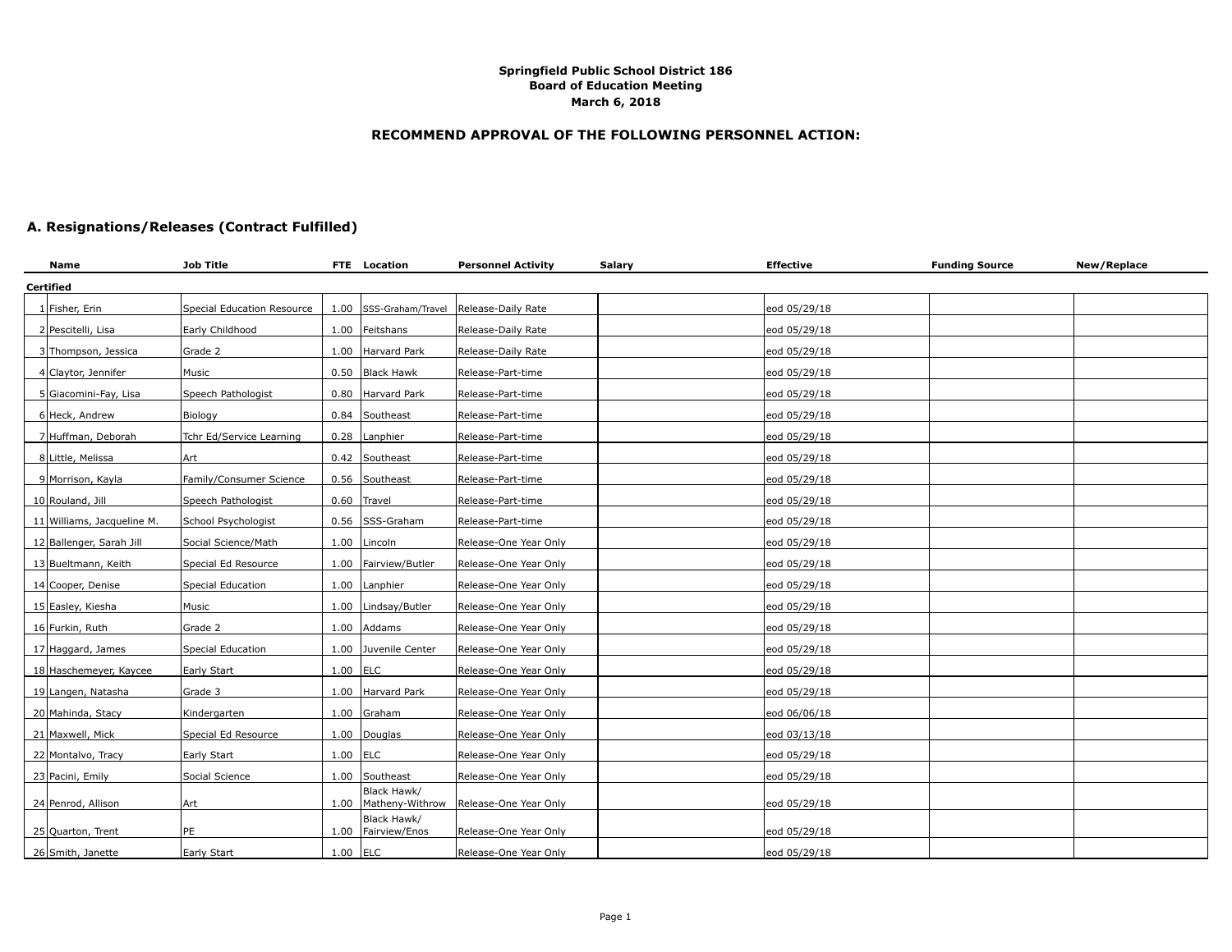## **RECOMMEND APPROVAL OF THE FOLLOWING PERSONNEL ACTION:**

# **A. Resignations/Releases (Contract Fulfilled)**

| Name                       | <b>Job Title</b>           |            | FTE Location                      | <b>Personnel Activity</b>             | <b>Salary</b> | <b>Effective</b> | <b>Funding Source</b> | New/Replace |
|----------------------------|----------------------------|------------|-----------------------------------|---------------------------------------|---------------|------------------|-----------------------|-------------|
| Certified                  |                            |            |                                   |                                       |               |                  |                       |             |
| 1 Fisher, Erin             | Special Education Resource |            | 1.00 SSS-Graham/Travel            | Release-Daily Rate                    |               | eod 05/29/18     |                       |             |
| 2 Pescitelli, Lisa         | Early Childhood            |            | 1.00 Feitshans                    | Release-Daily Rate                    |               | eod 05/29/18     |                       |             |
| 3 Thompson, Jessica        | Grade 2                    | 1.00       | Harvard Park                      | Release-Daily Rate                    |               | eod 05/29/18     |                       |             |
| 4 Claytor, Jennifer        | Music                      |            | 0.50 Black Hawk                   | Release-Part-time                     |               | eod 05/29/18     |                       |             |
| 5 Giacomini-Fay, Lisa      | Speech Pathologist         |            | 0.80 Harvard Park                 | Release-Part-time                     |               | eod 05/29/18     |                       |             |
| 6 Heck, Andrew             | Biology                    | 0.84       | Southeast                         | Release-Part-time                     |               | eod 05/29/18     |                       |             |
| 7 Huffman, Deborah         | Tchr Ed/Service Learning   |            | 0.28 Lanphier                     | Release-Part-time                     |               | eod 05/29/18     |                       |             |
| 8 Little, Melissa          | Art                        |            | 0.42 Southeast                    | Release-Part-time                     |               | eod 05/29/18     |                       |             |
| 9 Morrison, Kayla          | Family/Consumer Science    |            | 0.56 Southeast                    | Release-Part-time                     |               | eod 05/29/18     |                       |             |
| 10 Rouland, Jill           | Speech Pathologist         |            | 0.60 Travel                       | Release-Part-time                     |               | eod 05/29/18     |                       |             |
| 11 Williams, Jacqueline M. | School Psychologist        |            | 0.56 SSS-Graham                   | Release-Part-time                     |               | eod 05/29/18     |                       |             |
| 12 Ballenger, Sarah Jill   | Social Science/Math        | 1.00       | Lincoln                           | Release-One Year Only                 |               | eod 05/29/18     |                       |             |
| 13 Bueltmann, Keith        | Special Ed Resource        |            | 1.00 Fairview/Butler              | Release-One Year Only                 |               | eod 05/29/18     |                       |             |
| 14 Cooper, Denise          | Special Education          |            | 1.00 Lanphier                     | Release-One Year Only                 |               | eod 05/29/18     |                       |             |
| 15 Easley, Kiesha          | Music                      | 1.00       | Lindsay/Butler                    | Release-One Year Only                 |               | eod 05/29/18     |                       |             |
| 16 Furkin, Ruth            | Grade 2                    |            | 1.00 Addams                       | Release-One Year Only                 |               | eod 05/29/18     |                       |             |
| 17 Haggard, James          | Special Education          |            | 1.00 Juvenile Center              | Release-One Year Only                 |               | eod 05/29/18     |                       |             |
| 18 Haschemeyer, Kaycee     | Early Start                | $1.00$ ELC |                                   | Release-One Year Only                 |               | eod 05/29/18     |                       |             |
| 19 Langen, Natasha         | Grade 3                    |            | 1.00 Harvard Park                 | Release-One Year Only                 |               | eod 05/29/18     |                       |             |
| 20 Mahinda, Stacy          | Kindergarten               |            | $1.00$ Graham                     | Release-One Year Only                 |               | eod 06/06/18     |                       |             |
| 21 Maxwell, Mick           | Special Ed Resource        |            | 1.00 Douglas                      | Release-One Year Only                 |               | eod 03/13/18     |                       |             |
| 22 Montalvo, Tracy         | Early Start                | $1.00$ ELC |                                   | Release-One Year Only                 |               | eod 05/29/18     |                       |             |
| 23 Pacini, Emily           | Social Science             | 1.00       | Southeast                         | Release-One Year Only                 |               | eod 05/29/18     |                       |             |
| 24 Penrod, Allison         | Art                        | 1.00       | Black Hawk/                       | Matheny-Withrow Release-One Year Only |               | eod 05/29/18     |                       |             |
| 25 Quarton, Trent          | PE                         |            | Black Hawk/<br>1.00 Fairview/Enos | Release-One Year Only                 |               | eod 05/29/18     |                       |             |
| 26 Smith, Janette          | Early Start                | $1.00$ ELC |                                   | Release-One Year Only                 |               | eod 05/29/18     |                       |             |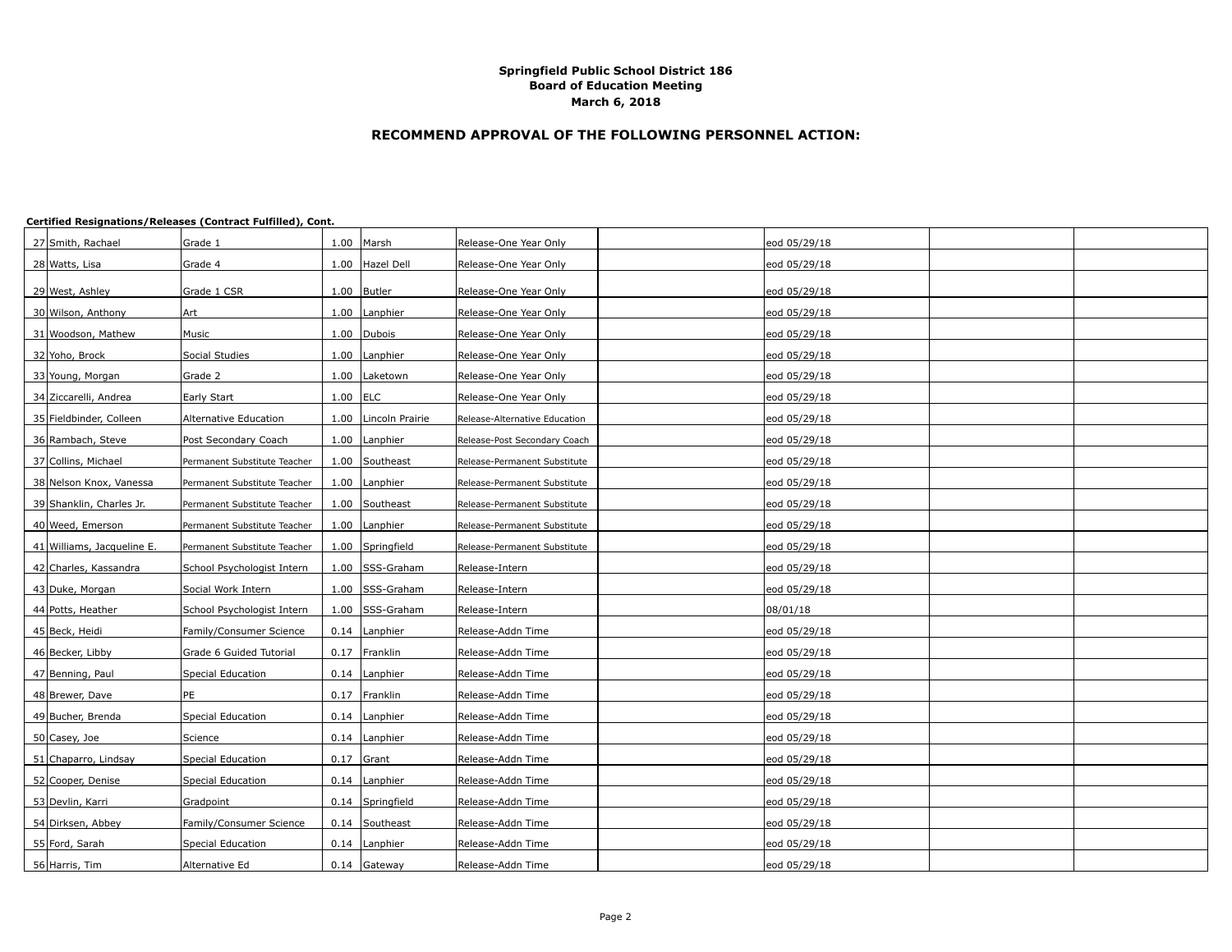## **RECOMMEND APPROVAL OF THE FOLLOWING PERSONNEL ACTION:**

| 27 Smith, Rachael          | Grade 1                      |            | 1.00 Marsh             | Release-One Year Only         | eod 05/29/18 |  |
|----------------------------|------------------------------|------------|------------------------|-------------------------------|--------------|--|
| 28 Watts, Lisa             | Grade 4                      |            | 1.00 Hazel Dell        | Release-One Year Only         | eod 05/29/18 |  |
| 29 West, Ashley            | Grade 1 CSR                  |            | 1.00 Butler            | Release-One Year Only         | eod 05/29/18 |  |
| 30 Wilson, Anthony         | Art                          |            | 1.00 Lanphier          | Release-One Year Only         | eod 05/29/18 |  |
| 31 Woodson, Mathew         | Music                        |            | 1.00 Dubois            | Release-One Year Only         | eod 05/29/18 |  |
| 32 Yoho, Brock             | Social Studies               |            | 1.00 Lanphier          | Release-One Year Only         | eod 05/29/18 |  |
| 33 Young, Morgan           | Grade 2                      |            | 1.00   Laketown        | Release-One Year Only         | eod 05/29/18 |  |
| 34 Ziccarelli, Andrea      | Early Start                  | $1.00$ ELC |                        | Release-One Year Only         | eod 05/29/18 |  |
| 35 Fieldbinder, Colleen    | Alternative Education        |            | 1.00   Lincoln Prairie | Release-Alternative Education | eod 05/29/18 |  |
| 36 Rambach, Steve          | Post Secondary Coach         |            | 1.00   Lanphier        | Release-Post Secondary Coach  | eod 05/29/18 |  |
| 37 Collins, Michael        | Permanent Substitute Teacher |            | 1.00 Southeast         | Release-Permanent Substitute  | eod 05/29/18 |  |
| 38 Nelson Knox, Vanessa    | Permanent Substitute Teacher |            | 1.00 Lanphier          | Release-Permanent Substitute  | eod 05/29/18 |  |
| 39 Shanklin, Charles Jr.   | Permanent Substitute Teacher |            | 1.00 Southeast         | Release-Permanent Substitute  | eod 05/29/18 |  |
| 40 Weed, Emerson           | Permanent Substitute Teacher |            | 1.00 Lanphier          | Release-Permanent Substitute  | eod 05/29/18 |  |
| 41 Williams, Jacqueline E. | Permanent Substitute Teacher |            | 1.00 Springfield       | Release-Permanent Substitute  | eod 05/29/18 |  |
| 42 Charles, Kassandra      | School Psychologist Intern   |            | 1.00 SSS-Graham        | Release-Intern                | eod 05/29/18 |  |
| 43 Duke, Morgan            | Social Work Intern           |            | 1.00 SSS-Graham        | Release-Intern                | eod 05/29/18 |  |
| 44 Potts, Heather          | School Psychologist Intern   |            | 1.00 SSS-Graham        | Release-Intern                | 08/01/18     |  |
| 45 Beck, Heidi             | Family/Consumer Science      |            | 0.14 Lanphier          | Release-Addn Time             | eod 05/29/18 |  |
| 46 Becker, Libby           | Grade 6 Guided Tutorial      |            | 0.17   Franklin        | Release-Addn Time             | eod 05/29/18 |  |
| 47 Benning, Paul           | Special Education            |            | 0.14   Lanphier        | Release-Addn Time             | eod 05/29/18 |  |
| 48 Brewer, Dave            | PE                           |            | 0.17 Franklin          | Release-Addn Time             | eod 05/29/18 |  |
| 49 Bucher, Brenda          | Special Education            |            | 0.14   Lanphier        | Release-Addn Time             | eod 05/29/18 |  |
| 50 Casey, Joe              | Science                      |            | 0.14 Lanphier          | Release-Addn Time             | eod 05/29/18 |  |
| 51 Chaparro, Lindsay       | Special Education            |            | $0.17$ Grant           | Release-Addn Time             | eod 05/29/18 |  |
| 52 Cooper, Denise          | <b>Special Education</b>     |            | 0.14 Lanphier          | Release-Addn Time             | eod 05/29/18 |  |
| 53 Devlin, Karri           | Gradpoint                    |            | 0.14 Springfield       | Release-Addn Time             | eod 05/29/18 |  |
| 54 Dirksen, Abbey          | Family/Consumer Science      |            | 0.14 Southeast         | Release-Addn Time             | eod 05/29/18 |  |
| 55 Ford, Sarah             | Special Education            |            | 0.14   Lanphier        | Release-Addn Time             | eod 05/29/18 |  |
| 56 Harris, Tim             | Alternative Ed               |            | $0.14$ Gateway         | Release-Addn Time             | eod 05/29/18 |  |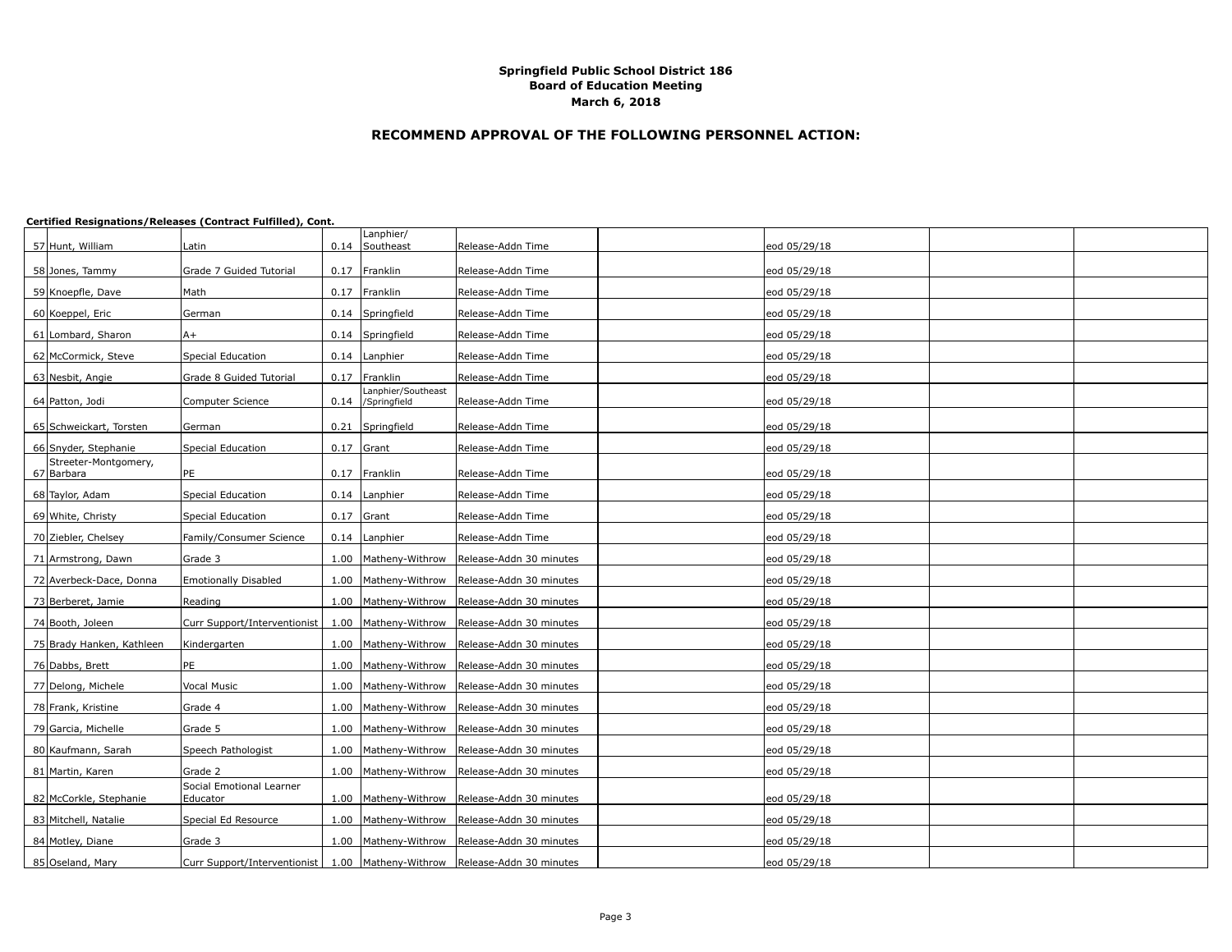## **RECOMMEND APPROVAL OF THE FOLLOWING PERSONNEL ACTION:**

| 57 Hunt, William          | Latin                                |      | Lanphier/<br>0.14 Southeast        | Release-Addn Time                            | eod 05/29/18 |  |
|---------------------------|--------------------------------------|------|------------------------------------|----------------------------------------------|--------------|--|
|                           |                                      |      |                                    |                                              |              |  |
| 58 Jones, Tammy           | Grade 7 Guided Tutorial              |      | 0.17 Franklin                      | Release-Addn Time                            | eod 05/29/18 |  |
| 59 Knoepfle, Dave         | Math                                 |      | 0.17 Franklin                      | Release-Addn Time                            | eod 05/29/18 |  |
| 60 Koeppel, Eric          | German                               |      | 0.14 Springfield                   | Release-Addn Time                            | eod 05/29/18 |  |
| 61 Lombard, Sharon        | $A+$                                 |      | 0.14 Springfield                   | Release-Addn Time                            | eod 05/29/18 |  |
| 62 McCormick, Steve       | Special Education                    |      | 0.14 Lanphier                      | Release-Addn Time                            | eod 05/29/18 |  |
| 63 Nesbit, Angie          | Grade 8 Guided Tutorial              |      | 0.17 Franklin                      | Release-Addn Time                            | eod 05/29/18 |  |
| 64 Patton, Jodi           | Computer Science                     | 0.14 | Lanphier/Southeast<br>/Springfield | Release-Addn Time                            | eod 05/29/18 |  |
| 65 Schweickart, Torsten   | German                               |      | 0.21 Springfield                   | Release-Addn Time                            | eod 05/29/18 |  |
| 66 Snyder, Stephanie      | <b>Special Education</b>             |      | $0.17$ Grant                       | Release-Addn Time                            | eod 05/29/18 |  |
| Streeter-Montgomery,      |                                      |      |                                    |                                              |              |  |
| 67 Barbara                | PE                                   |      | 0.17 Franklin                      | Release-Addn Time                            | eod 05/29/18 |  |
| 68 Taylor, Adam           | Special Education                    |      | 0.14 Lanphier                      | Release-Addn Time                            | eod 05/29/18 |  |
| 69 White, Christy         | <b>Special Education</b>             |      | $0.17$ Grant                       | Release-Addn Time                            | eod 05/29/18 |  |
| 70 Ziebler, Chelsey       | Family/Consumer Science              |      | $0.14$ Lanphier                    | Release-Addn Time                            | eod 05/29/18 |  |
| 71 Armstrong, Dawn        | Grade 3                              |      | 1.00   Matheny-Withrow             | Release-Addn 30 minutes                      | eod 05/29/18 |  |
| 72 Averbeck-Dace, Donna   | <b>Emotionally Disabled</b>          |      | 1.00   Matheny-Withrow             | Release-Addn 30 minutes                      | eod 05/29/18 |  |
| 73 Berberet, Jamie        | Reading                              |      | 1.00 Matheny-Withrow               | Release-Addn 30 minutes                      | eod 05/29/18 |  |
| 74 Booth, Joleen          | Curr Support/Interventionist         |      | 1.00 Matheny-Withrow               | Release-Addn 30 minutes                      | eod 05/29/18 |  |
| 75 Brady Hanken, Kathleen | Kindergarten                         |      | 1.00   Matheny-Withrow             | Release-Addn 30 minutes                      | eod 05/29/18 |  |
| 76 Dabbs, Brett           | PE                                   |      | 1.00 Matheny-Withrow               | Release-Addn 30 minutes                      | eod 05/29/18 |  |
| 77 Delong, Michele        | Vocal Music                          |      | 1.00   Matheny-Withrow             | Release-Addn 30 minutes                      | eod 05/29/18 |  |
| 78 Frank, Kristine        | Grade 4                              |      | 1.00   Matheny-Withrow             | Release-Addn 30 minutes                      | eod 05/29/18 |  |
| 79 Garcia, Michelle       | Grade 5                              |      | 1.00   Matheny-Withrow             | Release-Addn 30 minutes                      | eod 05/29/18 |  |
| 80 Kaufmann, Sarah        | Speech Pathologist                   |      | 1.00 Matheny-Withrow               | Release-Addn 30 minutes                      | eod 05/29/18 |  |
| 81 Martin, Karen          | Grade 2                              |      | 1.00   Matheny-Withrow             | Release-Addn 30 minutes                      | eod 05/29/18 |  |
| 82 McCorkle, Stephanie    | Social Emotional Learner<br>Educator |      | 1.00   Matheny-Withrow             | Release-Addn 30 minutes                      | eod 05/29/18 |  |
| 83 Mitchell, Natalie      | Special Ed Resource                  |      | 1.00   Matheny-Withrow             | Release-Addn 30 minutes                      | eod 05/29/18 |  |
| 84 Motley, Diane          | Grade 3                              |      | 1.00   Matheny-Withrow             | Release-Addn 30 minutes                      | eod 05/29/18 |  |
| 85 Oseland, Mary          | Curr Support/Interventionist         |      |                                    | 1.00 Matheny-Withrow Release-Addn 30 minutes | eod 05/29/18 |  |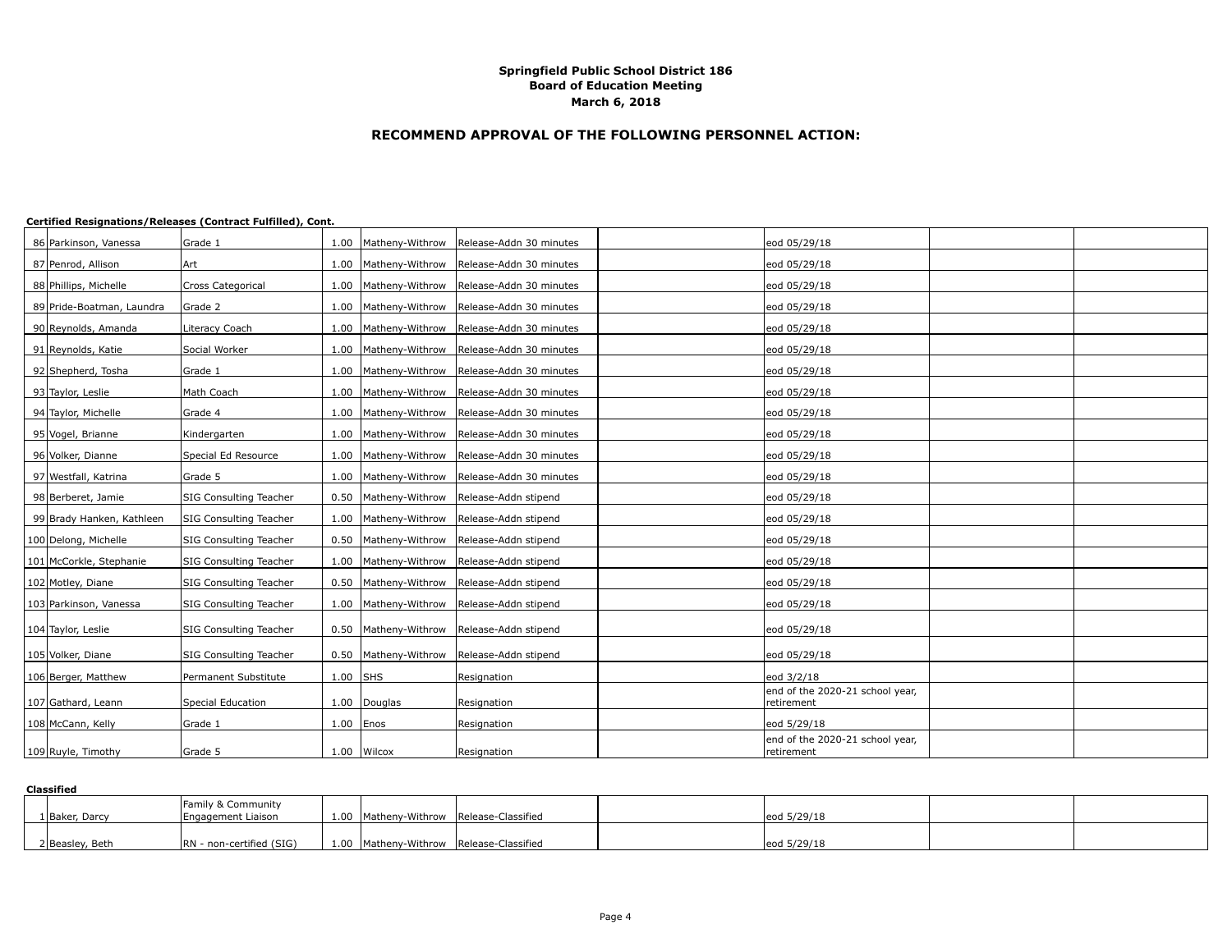## **RECOMMEND APPROVAL OF THE FOLLOWING PERSONNEL ACTION:**

#### **Certified Resignations/Releases (Contract Fulfilled), Cont.**

| 86 Parkinson, Vanessa     | Grade 1                |               |                        | 1.00 Matheny-Withrow Release-Addn 30 minutes     | eod 05/29/18                                  |  |
|---------------------------|------------------------|---------------|------------------------|--------------------------------------------------|-----------------------------------------------|--|
| 87 Penrod, Allison        | Art                    |               |                        | 1.00 Matheny-Withrow Release-Addn 30 minutes     | eod 05/29/18                                  |  |
| 88 Phillips, Michelle     | Cross Categorical      |               |                        | 1.00   Matheny-Withrow   Release-Addn 30 minutes | eod 05/29/18                                  |  |
| 89 Pride-Boatman, Laundra | Grade 2                |               |                        | 1.00 Matheny-Withrow Release-Addn 30 minutes     | eod 05/29/18                                  |  |
| 90 Reynolds, Amanda       | Literacy Coach         |               |                        | 1.00   Matheny-Withrow   Release-Addn 30 minutes | eod 05/29/18                                  |  |
| 91 Reynolds, Katie        | Social Worker          |               |                        | 1.00 Matheny-Withrow Release-Addn 30 minutes     | eod 05/29/18                                  |  |
| 92 Shepherd, Tosha        | Grade 1                |               |                        | 1.00   Matheny-Withrow   Release-Addn 30 minutes | eod 05/29/18                                  |  |
| 93 Taylor, Leslie         | Math Coach             |               |                        | 1.00 Matheny-Withrow Release-Addn 30 minutes     | eod 05/29/18                                  |  |
| 94 Taylor, Michelle       | Grade 4                |               |                        | 1.00   Matheny-Withrow   Release-Addn 30 minutes | eod 05/29/18                                  |  |
| 95 Vogel, Brianne         | Kindergarten           |               |                        | 1.00   Matheny-Withrow   Release-Addn 30 minutes | eod 05/29/18                                  |  |
| 96 Volker, Dianne         | Special Ed Resource    |               |                        | 1.00 Matheny-Withrow Release-Addn 30 minutes     | eod 05/29/18                                  |  |
| 97 Westfall, Katrina      | Grade 5                |               |                        | 1.00   Matheny-Withrow   Release-Addn 30 minutes | eod 05/29/18                                  |  |
| 98 Berberet, Jamie        | SIG Consulting Teacher | 0.50          | Matheny-Withrow        | Release-Addn stipend                             | eod 05/29/18                                  |  |
| 99 Brady Hanken, Kathleen | SIG Consulting Teacher | 1.00          | Matheny-Withrow        | Release-Addn stipend                             | eod 05/29/18                                  |  |
| 100 Delong, Michelle      | SIG Consulting Teacher | 0.50          | Matheny-Withrow        | Release-Addn stipend                             | eod 05/29/18                                  |  |
| 101 McCorkle, Stephanie   | SIG Consulting Teacher | 1.00          | Matheny-Withrow        | Release-Addn stipend                             | eod 05/29/18                                  |  |
| 102 Motley, Diane         | SIG Consulting Teacher | 0.50          | Matheny-Withrow        | Release-Addn stipend                             | eod 05/29/18                                  |  |
| 103 Parkinson, Vanessa    | SIG Consulting Teacher | 1.00          | Matheny-Withrow        | Release-Addn stipend                             | eod 05/29/18                                  |  |
| 104 Taylor, Leslie        | SIG Consulting Teacher |               | 0.50   Matheny-Withrow | Release-Addn stipend                             | eod 05/29/18                                  |  |
|                           |                        |               |                        |                                                  |                                               |  |
| 105 Volker, Diane         | SIG Consulting Teacher |               | 0.50   Matheny-Withrow | Release-Addn stipend                             | eod 05/29/18                                  |  |
| 106 Berger, Matthew       | Permanent Substitute   | $1.00$ SHS    |                        | Resignation                                      | eod 3/2/18                                    |  |
| 107 Gathard, Leann        | Special Education      | 1.00          | Douglas                | Resignation                                      | end of the 2020-21 school year,<br>retirement |  |
| 108 McCann, Kelly         | Grade 1                | $1.00$   Enos |                        | Resignation                                      | eod 5/29/18                                   |  |
| 109 Ruyle, Timothy        | Grade 5                |               | 1.00 Wilcox            | Resignation                                      | end of the 2020-21 school year,<br>retirement |  |

#### **Classified**

| 1 Baker, Darcy  | <b>Family &amp; Community</b><br>Engagement Liaison |  | 1.00 Matheny-Withrow Release-Classified | leod 5/29/18 |  |
|-----------------|-----------------------------------------------------|--|-----------------------------------------|--------------|--|
| 2 Beasley, Beth | RN - non-certified (SIG)                            |  | 1.00 Matheny-Withrow Release-Classified | eod 5/29/18  |  |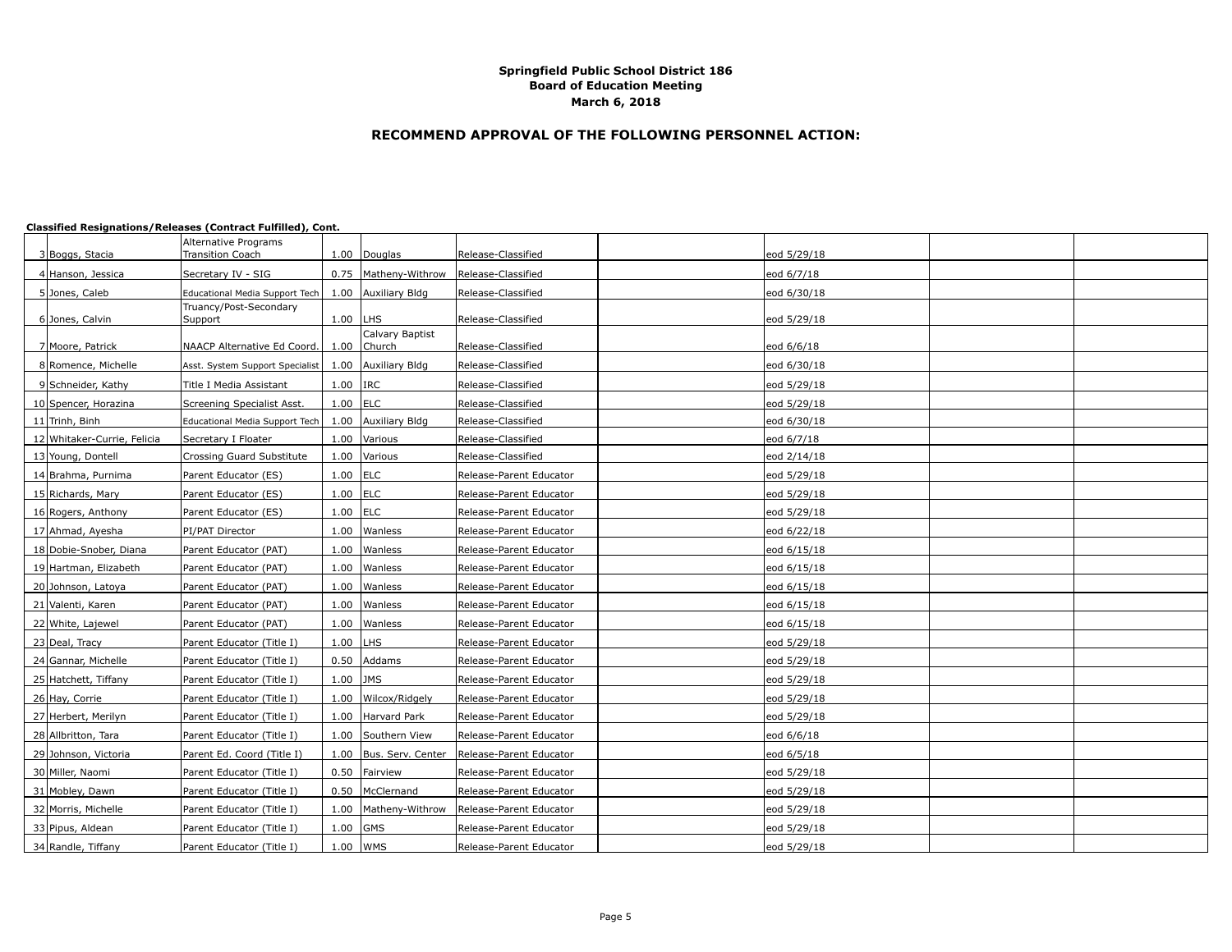## **RECOMMEND APPROVAL OF THE FOLLOWING PERSONNEL ACTION:**

| 3 Boggs, Stacia             | Alternative Programs<br><b>Transition Coach</b> | 1.00       | Douglas                | Release-Classified      | eod 5/29/18 |  |
|-----------------------------|-------------------------------------------------|------------|------------------------|-------------------------|-------------|--|
| 4 Hanson, Jessica           | Secretary IV - SIG                              |            | 0.75   Matheny-Withrow | Release-Classified      | eod 6/7/18  |  |
|                             |                                                 |            |                        |                         |             |  |
| 5 Jones, Caleb              | Educational Media Support Tech                  | 1.00       | Auxiliary Bldg         | Release-Classified      | eod 6/30/18 |  |
| 6 Jones, Calvin             | Truancy/Post-Secondary<br>Support               | $1.00$ LHS |                        | Release-Classified      | eod 5/29/18 |  |
|                             |                                                 |            | Calvary Baptist        |                         |             |  |
| 7 Moore, Patrick            | NAACP Alternative Ed Coord.                     | 1.00       | Church                 | Release-Classified      | eod 6/6/18  |  |
| 8 Romence, Michelle         | Asst. System Support Specialist                 |            | 1.00 Auxiliary Bldg    | Release-Classified      | eod 6/30/18 |  |
| 9 Schneider, Kathy          | Title I Media Assistant                         | $1.00$ IRC |                        | Release-Classified      | eod 5/29/18 |  |
| 10 Spencer, Horazina        | Screening Specialist Asst.                      | $1.00$ ELC |                        | Release-Classified      | eod 5/29/18 |  |
| 11 Trinh, Binh              | Educational Media Support Tech                  | 1.00       | Auxiliary Bldg         | Release-Classified      | eod 6/30/18 |  |
| 12 Whitaker-Currie, Felicia | Secretary I Floater                             | 1.00       | Various                | Release-Classified      | eod 6/7/18  |  |
| 13 Young, Dontell           | Crossing Guard Substitute                       |            | 1.00 Various           | Release-Classified      | eod 2/14/18 |  |
| 14 Brahma, Purnima          | Parent Educator (ES)                            | $1.00$ ELC |                        | Release-Parent Educator | eod 5/29/18 |  |
| 15 Richards, Mary           | Parent Educator (ES)                            | $1.00$ ELC |                        | Release-Parent Educator | eod 5/29/18 |  |
| 16 Rogers, Anthony          | Parent Educator (ES)                            | 1.00       | <b>ELC</b>             | Release-Parent Educator | eod 5/29/18 |  |
| 17 Ahmad, Ayesha            | PI/PAT Director                                 |            | 1.00 Wanless           | Release-Parent Educator | eod 6/22/18 |  |
| 18 Dobie-Snober, Diana      | Parent Educator (PAT)                           | 1.00       | Wanless                | Release-Parent Educator | eod 6/15/18 |  |
| 19 Hartman, Elizabeth       | Parent Educator (PAT)                           | 1.00       | Wanless                | Release-Parent Educator | eod 6/15/18 |  |
| 20 Johnson, Latoya          | Parent Educator (PAT)                           | 1.00       | Wanless                | Release-Parent Educator | eod 6/15/18 |  |
| 21 Valenti, Karen           | Parent Educator (PAT)                           |            | 1.00 Wanless           | Release-Parent Educator | eod 6/15/18 |  |
| 22 White, Lajewel           | Parent Educator (PAT)                           | 1.00       | Wanless                | Release-Parent Educator | eod 6/15/18 |  |
| 23 Deal, Tracy              | Parent Educator (Title I)                       | 1.00       | <b>LHS</b>             | Release-Parent Educator | eod 5/29/18 |  |
| 24 Gannar, Michelle         | Parent Educator (Title I)                       | 0.50       | Addams                 | Release-Parent Educator | eod 5/29/18 |  |
| 25 Hatchett, Tiffany        | Parent Educator (Title I)                       | $1.00$ JMS |                        | Release-Parent Educator | eod 5/29/18 |  |
| 26 Hay, Corrie              | Parent Educator (Title I)                       | 1.00       | Wilcox/Ridgely         | Release-Parent Educator | eod 5/29/18 |  |
| 27 Herbert, Merilyn         | Parent Educator (Title I)                       | 1.00       | Harvard Park           | Release-Parent Educator | eod 5/29/18 |  |
| 28 Allbritton, Tara         | Parent Educator (Title I)                       | 1.00       | Southern View          | Release-Parent Educator | eod 6/6/18  |  |
| 29 Johnson, Victoria        | Parent Ed. Coord (Title I)                      |            | 1.00 Bus. Serv. Center | Release-Parent Educator | eod 6/5/18  |  |
| 30 Miller, Naomi            | Parent Educator (Title I)                       | 0.50       | Fairview               | Release-Parent Educator | eod 5/29/18 |  |
| 31 Mobley, Dawn             | Parent Educator (Title I)                       | 0.50       | McClernand             | Release-Parent Educator | eod 5/29/18 |  |
| 32 Morris, Michelle         | Parent Educator (Title I)                       | 1.00       | Matheny-Withrow        | Release-Parent Educator | eod 5/29/18 |  |
| 33 Pipus, Aldean            | Parent Educator (Title I)                       | 1.00       | <b>GMS</b>             | Release-Parent Educator | eod 5/29/18 |  |
| 34 Randle, Tiffany          | Parent Educator (Title I)                       | 1.00 WMS   |                        | Release-Parent Educator | eod 5/29/18 |  |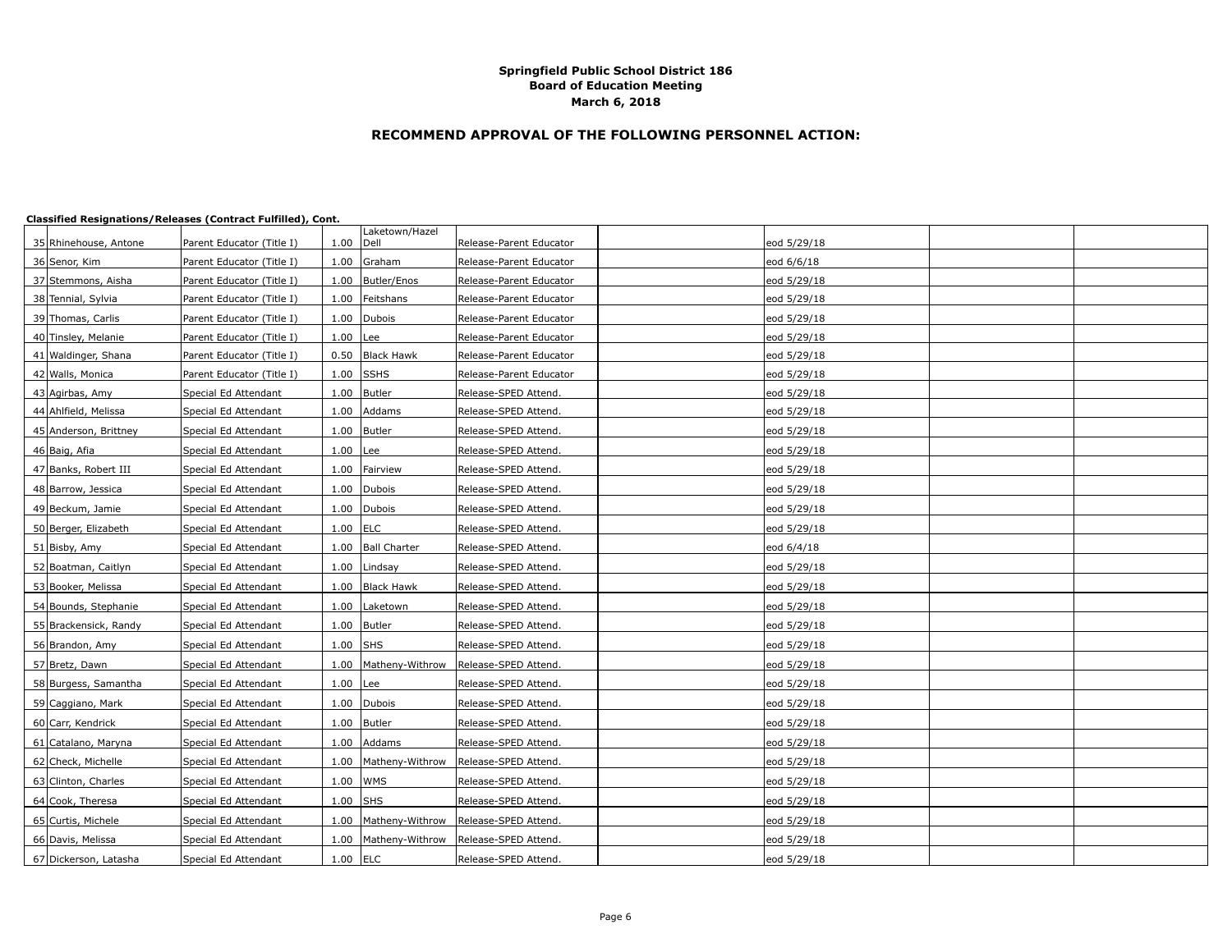# **RECOMMEND APPROVAL OF THE FOLLOWING PERSONNEL ACTION:**

|                       |                           |            | Laketown/Hazel         |                         |             |  |
|-----------------------|---------------------------|------------|------------------------|-------------------------|-------------|--|
| 35 Rhinehouse, Antone | Parent Educator (Title I) | 1.00       | Dell                   | Release-Parent Educator | eod 5/29/18 |  |
| 36 Senor, Kim         | Parent Educator (Title I) |            | 1.00 Graham            | Release-Parent Educator | eod 6/6/18  |  |
| 37 Stemmons, Aisha    | Parent Educator (Title I) | 1.00       | Butler/Enos            | Release-Parent Educator | eod 5/29/18 |  |
| 38 Tennial, Sylvia    | Parent Educator (Title I) | 1.00       | Feitshans              | Release-Parent Educator | eod 5/29/18 |  |
| 39 Thomas, Carlis     | Parent Educator (Title I) |            | 1.00 Dubois            | Release-Parent Educator | eod 5/29/18 |  |
| 40 Tinsley, Melanie   | Parent Educator (Title I) | 1.00       | Lee                    | Release-Parent Educator | eod 5/29/18 |  |
| 41 Waldinger, Shana   | Parent Educator (Title I) | 0.50       | <b>Black Hawk</b>      | Release-Parent Educator | eod 5/29/18 |  |
| 42 Walls, Monica      | Parent Educator (Title I) | 1.00       | <b>SSHS</b>            | Release-Parent Educator | eod 5/29/18 |  |
| 43 Agirbas, Amy       | Special Ed Attendant      | 1.00       | Butler                 | Release-SPED Attend.    | eod 5/29/18 |  |
| 44 Ahlfield, Melissa  | Special Ed Attendant      |            | 1.00 Addams            | Release-SPED Attend.    | eod 5/29/18 |  |
| 45 Anderson, Brittney | Special Ed Attendant      | 1.00       | Butler                 | Release-SPED Attend.    | eod 5/29/18 |  |
| 46 Baig, Afia         | Special Ed Attendant      | $1.00$ Lee |                        | Release-SPED Attend.    | eod 5/29/18 |  |
| 47 Banks, Robert III  | Special Ed Attendant      | 1.00       | Fairview               | Release-SPED Attend.    | eod 5/29/18 |  |
| 48 Barrow, Jessica    | Special Ed Attendant      |            | 1.00 Dubois            | Release-SPED Attend.    | eod 5/29/18 |  |
| 49 Beckum, Jamie      | Special Ed Attendant      | 1.00       | Dubois                 | Release-SPED Attend.    | eod 5/29/18 |  |
| 50 Berger, Elizabeth  | Special Ed Attendant      | $1.00$ ELC |                        | Release-SPED Attend.    | eod 5/29/18 |  |
| 51 Bisby, Amy         | Special Ed Attendant      |            | 1.00 Ball Charter      | Release-SPED Attend.    | eod 6/4/18  |  |
| 52 Boatman, Caitlyn   | Special Ed Attendant      |            | 1.00 Lindsay           | Release-SPED Attend.    | eod 5/29/18 |  |
| 53 Booker, Melissa    | Special Ed Attendant      |            | 1.00 Black Hawk        | Release-SPED Attend.    | eod 5/29/18 |  |
| 54 Bounds, Stephanie  | Special Ed Attendant      | 1.00       | Laketown               | Release-SPED Attend.    | eod 5/29/18 |  |
| 55 Brackensick, Randy | Special Ed Attendant      |            | 1.00 Butler            | Release-SPED Attend.    | eod 5/29/18 |  |
| 56 Brandon, Amy       | Special Ed Attendant      | 1.00       | <b>SHS</b>             | Release-SPED Attend.    | eod 5/29/18 |  |
| 57 Bretz, Dawn        | Special Ed Attendant      |            | 1.00   Matheny-Withrow | Release-SPED Attend.    | eod 5/29/18 |  |
| 58 Burgess, Samantha  | Special Ed Attendant      | $1.00$ Lee |                        | Release-SPED Attend.    | eod 5/29/18 |  |
| 59 Caggiano, Mark     | Special Ed Attendant      |            | 1.00 Dubois            | Release-SPED Attend.    | eod 5/29/18 |  |
| 60 Carr, Kendrick     | Special Ed Attendant      |            | 1.00 Butler            | Release-SPED Attend.    | eod 5/29/18 |  |
| 61 Catalano, Maryna   | Special Ed Attendant      | 1.00       | Addams                 | Release-SPED Attend.    | eod 5/29/18 |  |
| 62 Check, Michelle    | Special Ed Attendant      |            | 1.00   Matheny-Withrow | Release-SPED Attend.    | eod 5/29/18 |  |
| 63 Clinton, Charles   | Special Ed Attendant      | 1.00       | <b>WMS</b>             | Release-SPED Attend.    | eod 5/29/18 |  |
| 64 Cook, Theresa      | Special Ed Attendant      | $1.00$ SHS |                        | Release-SPED Attend.    | eod 5/29/18 |  |
| 65 Curtis, Michele    | Special Ed Attendant      | 1.00       | Matheny-Withrow        | Release-SPED Attend.    | eod 5/29/18 |  |
| 66 Davis, Melissa     | Special Ed Attendant      |            | 1.00   Matheny-Withrow | Release-SPED Attend.    | eod 5/29/18 |  |
| 67 Dickerson, Latasha | Special Ed Attendant      | $1.00$ ELC |                        | Release-SPED Attend.    | eod 5/29/18 |  |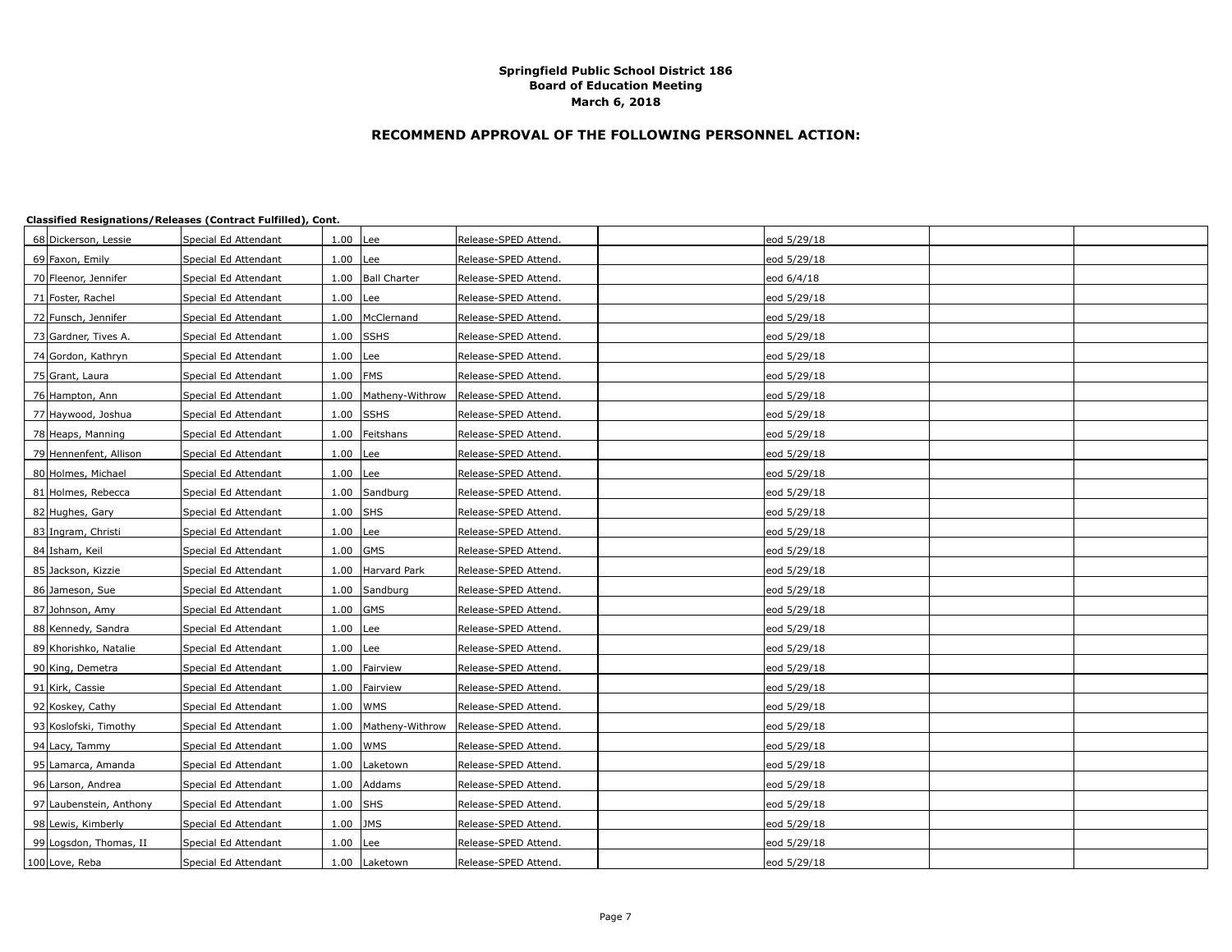# **RECOMMEND APPROVAL OF THE FOLLOWING PERSONNEL ACTION:**

| 68 Dickerson, Lessie    | Special Ed Attendant | $1.00$ Lee  |                     | Release-SPED Attend. | eod 5/29/18 |  |
|-------------------------|----------------------|-------------|---------------------|----------------------|-------------|--|
| 69 Faxon, Emily         | Special Ed Attendant | 1.00        | Lee                 | Release-SPED Attend. | eod 5/29/18 |  |
| 70 Fleenor, Jennifer    | Special Ed Attendant |             | 1.00   Ball Charter | Release-SPED Attend. | eod 6/4/18  |  |
| 71 Foster, Rachel       | Special Ed Attendant | 1.00        | Lee                 | Release-SPED Attend. | eod 5/29/18 |  |
| 72 Funsch, Jennifer     | Special Ed Attendant | 1.00        | McClernand          | Release-SPED Attend. | eod 5/29/18 |  |
| 73 Gardner, Tives A.    | Special Ed Attendant |             | $1.00$ SSHS         | Release-SPED Attend. | eod 5/29/18 |  |
| 74 Gordon, Kathryn      | Special Ed Attendant | $1.00$ Lee  |                     | Release-SPED Attend. | eod 5/29/18 |  |
| 75 Grant, Laura         | Special Ed Attendant | $1.00$ FMS  |                     | Release-SPED Attend. | eod 5/29/18 |  |
| 76 Hampton, Ann         | Special Ed Attendant | 1.00        | Matheny-Withrow     | Release-SPED Attend. | eod 5/29/18 |  |
| 77 Haywood, Joshua      | Special Ed Attendant | $1.00$ SSHS |                     | Release-SPED Attend. | eod 5/29/18 |  |
| 78 Heaps, Manning       | Special Ed Attendant | 1.00        | Feitshans           | Release-SPED Attend. | eod 5/29/18 |  |
| 79 Hennenfent, Allison  | Special Ed Attendant | $1.00$ Lee  |                     | Release-SPED Attend. | eod 5/29/18 |  |
| 80 Holmes, Michael      | Special Ed Attendant | $1.00$ Lee  |                     | Release-SPED Attend. | eod 5/29/18 |  |
| 81 Holmes, Rebecca      | Special Ed Attendant |             | 1.00 Sandburg       | Release-SPED Attend. | eod 5/29/18 |  |
| 82 Hughes, Gary         | Special Ed Attendant | 1.00        | <b>SHS</b>          | Release-SPED Attend. | eod 5/29/18 |  |
| 83 Ingram, Christi      | Special Ed Attendant | 1.00        | Lee                 | Release-SPED Attend. | eod 5/29/18 |  |
| 84 Isham, Keil          | Special Ed Attendant | $1.00$ GMS  |                     | Release-SPED Attend. | eod 5/29/18 |  |
| 85 Jackson, Kizzie      | Special Ed Attendant |             | 1.00 Harvard Park   | Release-SPED Attend. | eod 5/29/18 |  |
| 86 Jameson, Sue         | Special Ed Attendant | 1.00        | Sandburg            | Release-SPED Attend. | eod 5/29/18 |  |
| 87 Johnson, Amy         | Special Ed Attendant | $1.00$ GMS  |                     | Release-SPED Attend. | eod 5/29/18 |  |
| 88 Kennedy, Sandra      | Special Ed Attendant | $1.00$ Lee  |                     | Release-SPED Attend. | eod 5/29/18 |  |
| 89 Khorishko, Natalie   | Special Ed Attendant | 1.00        | Lee                 | Release-SPED Attend. | eod 5/29/18 |  |
| 90 King, Demetra        | Special Ed Attendant | 1.00        | Fairview            | Release-SPED Attend. | eod 5/29/18 |  |
| 91 Kirk, Cassie         | Special Ed Attendant | 1.00        | Fairview            | Release-SPED Attend. | eod 5/29/18 |  |
| 92 Koskey, Cathy        | Special Ed Attendant | 1.00   WMS  |                     | Release-SPED Attend. | eod 5/29/18 |  |
| 93 Koslofski, Timothy   | Special Ed Attendant | 1.00        | Matheny-Withrow     | Release-SPED Attend. | eod 5/29/18 |  |
| 94 Lacy, Tammy          | Special Ed Attendant | 1.00        | <b>WMS</b>          | Release-SPED Attend. | eod 5/29/18 |  |
| 95 Lamarca, Amanda      | Special Ed Attendant | 1.00        | Laketown            | Release-SPED Attend. | eod 5/29/18 |  |
| 96 Larson, Andrea       | Special Ed Attendant |             | 1.00 Addams         | Release-SPED Attend. | eod 5/29/18 |  |
| 97 Laubenstein, Anthony | Special Ed Attendant | $1.00$ SHS  |                     | Release-SPED Attend. | eod 5/29/18 |  |
| 98 Lewis, Kimberly      | Special Ed Attendant | $1.00$ JMS  |                     | Release-SPED Attend. | eod 5/29/18 |  |
| 99 Logsdon, Thomas, II  | Special Ed Attendant | $1.00$ Lee  |                     | Release-SPED Attend. | eod 5/29/18 |  |
| 100 Love, Reba          | Special Ed Attendant |             | 1.00 Laketown       | Release-SPED Attend. | eod 5/29/18 |  |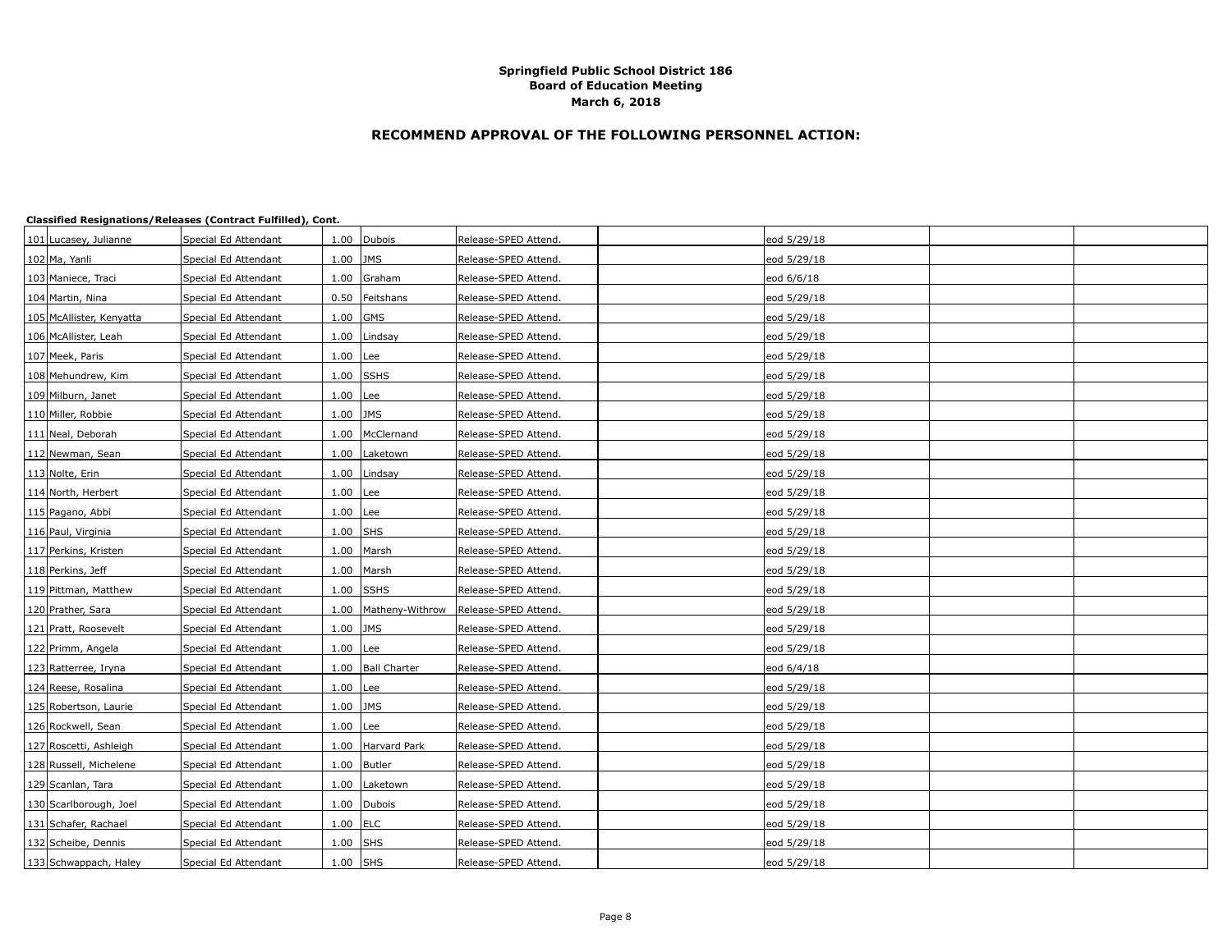# **RECOMMEND APPROVAL OF THE FOLLOWING PERSONNEL ACTION:**

| 101 Lucasey, Julianne    | Special Ed Attendant |            | 1.00 Dubois            | Release-SPED Attend. | eod 5/29/18 |  |
|--------------------------|----------------------|------------|------------------------|----------------------|-------------|--|
| 102 Ma, Yanli            | Special Ed Attendant | $1.00$ JMS |                        | Release-SPED Attend. | eod 5/29/18 |  |
| 103 Maniece, Traci       | Special Ed Attendant |            | 1.00 Graham            | Release-SPED Attend. | eod 6/6/18  |  |
| 104 Martin, Nina         | Special Ed Attendant |            | 0.50 Feitshans         | Release-SPED Attend. | eod 5/29/18 |  |
| 105 McAllister, Kenyatta | Special Ed Attendant | 1.00       | <b>GMS</b>             | Release-SPED Attend. | eod 5/29/18 |  |
| 106 McAllister, Leah     | Special Ed Attendant |            | 1.00 Lindsay           | Release-SPED Attend. | eod 5/29/18 |  |
| 107 Meek, Paris          | Special Ed Attendant | $1.00$ Lee |                        | Release-SPED Attend. | eod 5/29/18 |  |
| 108 Mehundrew, Kim       | Special Ed Attendant | 1.00 SSHS  |                        | Release-SPED Attend. | eod 5/29/18 |  |
| 109 Milburn, Janet       | Special Ed Attendant | $1.00$ Lee |                        | Release-SPED Attend. | eod 5/29/18 |  |
| 110 Miller, Robbie       | Special Ed Attendant | $1.00$ JMS |                        | Release-SPED Attend. | eod 5/29/18 |  |
| 111 Neal, Deborah        | Special Ed Attendant |            | 1.00   McClernand      | Release-SPED Attend. | eod 5/29/18 |  |
| 112 Newman, Sean         | Special Ed Attendant |            | 1.00 Laketown          | Release-SPED Attend. | eod 5/29/18 |  |
| 113 Nolte, Erin          | Special Ed Attendant |            | 1.00 Lindsay           | Release-SPED Attend. | eod 5/29/18 |  |
| 114 North, Herbert       | Special Ed Attendant | $1.00$ Lee |                        | Release-SPED Attend. | eod 5/29/18 |  |
| 115 Pagano, Abbi         | Special Ed Attendant | $1.00$ Lee |                        | Release-SPED Attend. | eod 5/29/18 |  |
| 116 Paul, Virginia       | Special Ed Attendant | $1.00$ SHS |                        | Release-SPED Attend. | eod 5/29/18 |  |
| 117 Perkins, Kristen     | Special Ed Attendant |            | 1.00 Marsh             | Release-SPED Attend. | eod 5/29/18 |  |
| 118 Perkins, Jeff        | Special Ed Attendant |            | 1.00 Marsh             | Release-SPED Attend. | eod 5/29/18 |  |
| 119 Pittman, Matthew     | Special Ed Attendant | 1.00 SSHS  |                        | Release-SPED Attend. | eod 5/29/18 |  |
| 120 Prather, Sara        | Special Ed Attendant |            | 1.00   Matheny-Withrow | Release-SPED Attend. | eod 5/29/18 |  |
| 121 Pratt, Roosevelt     | Special Ed Attendant | $1.00$ JMS |                        | Release-SPED Attend. | eod 5/29/18 |  |
| 122 Primm, Angela        | Special Ed Attendant | $1.00$ Lee |                        | Release-SPED Attend. | eod 5/29/18 |  |
| 123 Ratterree, Iryna     | Special Ed Attendant |            | 1.00   Ball Charter    | Release-SPED Attend. | eod 6/4/18  |  |
| 124 Reese, Rosalina      | Special Ed Attendant | $1.00$ Lee |                        | Release-SPED Attend. | eod 5/29/18 |  |
| 125 Robertson, Laurie    | Special Ed Attendant | 1.00 JMS   |                        | Release-SPED Attend. | eod 5/29/18 |  |
| 126 Rockwell, Sean       | Special Ed Attendant | $1.00$ Lee |                        | Release-SPED Attend. | eod 5/29/18 |  |
| 127 Roscetti, Ashleigh   | Special Ed Attendant | 1.00       | Harvard Park           | Release-SPED Attend. | eod 5/29/18 |  |
| 128 Russell, Michelene   | Special Ed Attendant |            | 1.00 Butler            | Release-SPED Attend. | eod 5/29/18 |  |
| 129 Scanlan, Tara        | Special Ed Attendant |            | 1.00 Laketown          | Release-SPED Attend. | eod 5/29/18 |  |
| 130 Scarlborough, Joel   | Special Ed Attendant |            | 1.00 Dubois            | Release-SPED Attend. | eod 5/29/18 |  |
| 131 Schafer, Rachael     | Special Ed Attendant | $1.00$ ELC |                        | Release-SPED Attend. | eod 5/29/18 |  |
| 132 Scheibe, Dennis      | Special Ed Attendant | $1.00$ SHS |                        | Release-SPED Attend. | eod 5/29/18 |  |
| 133 Schwappach, Haley    | Special Ed Attendant | $1.00$ SHS |                        | Release-SPED Attend. | eod 5/29/18 |  |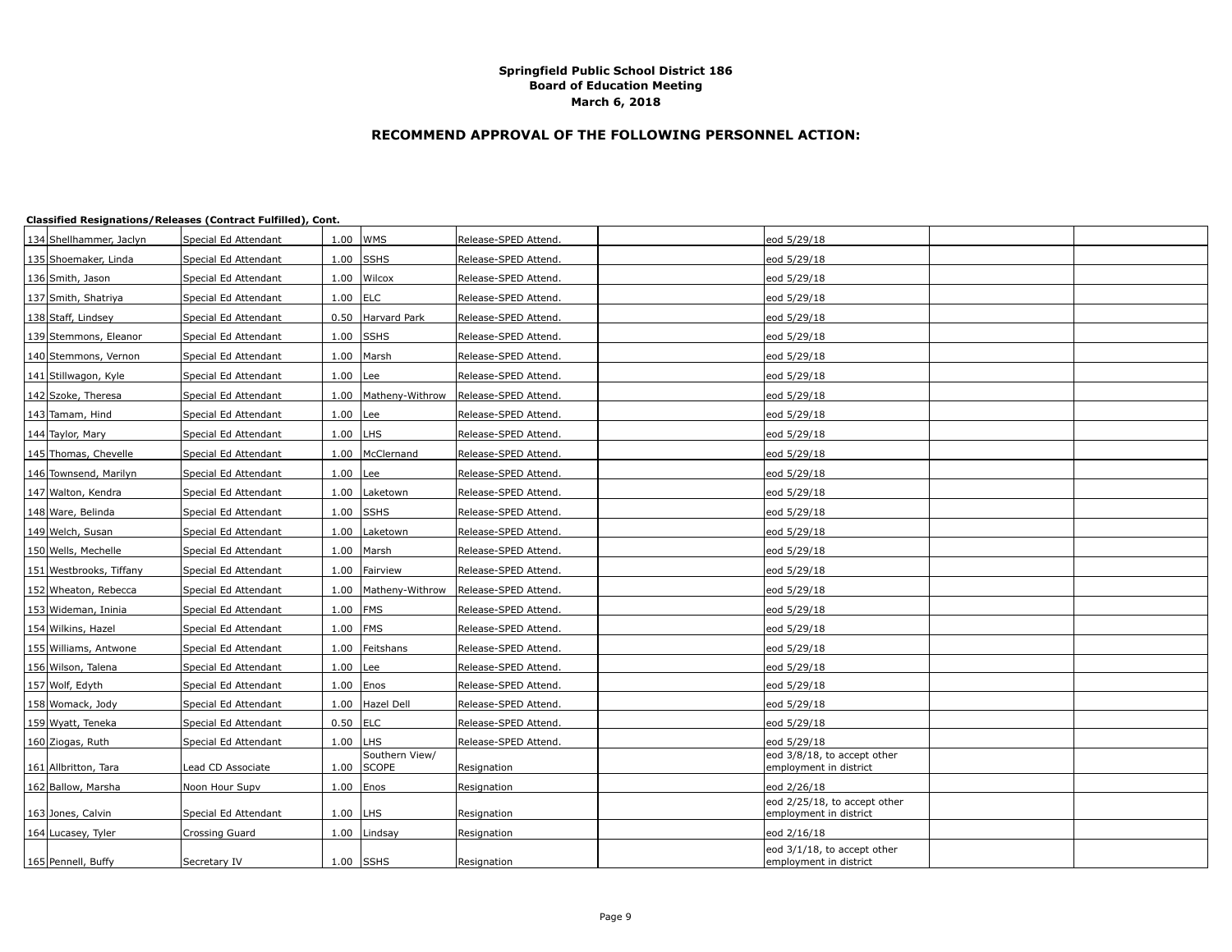# **RECOMMEND APPROVAL OF THE FOLLOWING PERSONNEL ACTION:**

| 134 Shellhammer, Jaclyn | Special Ed Attendant |            | 1.00 WMS                       | Release-SPED Attend. | eod 5/29/18                                            |  |
|-------------------------|----------------------|------------|--------------------------------|----------------------|--------------------------------------------------------|--|
| 135 Shoemaker, Linda    | Special Ed Attendant | 1.00       | <b>SSHS</b>                    | Release-SPED Attend. | eod 5/29/18                                            |  |
| 136 Smith, Jason        | Special Ed Attendant |            | 1.00 Wilcox                    | Release-SPED Attend. | eod 5/29/18                                            |  |
| 137 Smith, Shatriya     | Special Ed Attendant | 1.00       | <b>ELC</b>                     | Release-SPED Attend. | eod 5/29/18                                            |  |
| 138 Staff, Lindsey      | Special Ed Attendant | 0.50       | Harvard Park                   | Release-SPED Attend. | eod 5/29/18                                            |  |
| 139 Stemmons, Eleanor   | Special Ed Attendant |            | $1.00$ SSHS                    | Release-SPED Attend. | eod 5/29/18                                            |  |
| 140 Stemmons, Vernon    | Special Ed Attendant |            | 1.00 Marsh                     | Release-SPED Attend. | eod 5/29/18                                            |  |
| 141 Stillwagon, Kyle    | Special Ed Attendant | 1.00       | Lee                            | Release-SPED Attend. | eod 5/29/18                                            |  |
| 142 Szoke, Theresa      | Special Ed Attendant | 1.00       | Matheny-Withrow                | Release-SPED Attend. | eod 5/29/18                                            |  |
| 143 Tamam, Hind         | Special Ed Attendant | $1.00$ Lee |                                | Release-SPED Attend. | eod 5/29/18                                            |  |
| 144 Taylor, Mary        | Special Ed Attendant | 1.00       | LHS                            | Release-SPED Attend. | eod 5/29/18                                            |  |
| 145 Thomas, Chevelle    | Special Ed Attendant | 1.00       | McClernand                     | Release-SPED Attend. | eod 5/29/18                                            |  |
| 146 Townsend, Marilyn   | Special Ed Attendant | 1.00       | Lee                            | Release-SPED Attend. | eod 5/29/18                                            |  |
| 147 Walton, Kendra      | Special Ed Attendant | 1.00       | Laketown                       | Release-SPED Attend. | eod 5/29/18                                            |  |
| 148 Ware, Belinda       | Special Ed Attendant | 1.00       | <b>SSHS</b>                    | Release-SPED Attend. | eod 5/29/18                                            |  |
| 149 Welch, Susan        | Special Ed Attendant | 1.00       | Laketown                       | Release-SPED Attend. | eod 5/29/18                                            |  |
| 150 Wells, Mechelle     | Special Ed Attendant | 1.00       | Marsh                          | Release-SPED Attend. | eod 5/29/18                                            |  |
| 151 Westbrooks, Tiffany | Special Ed Attendant | 1.00       | Fairview                       | Release-SPED Attend. | eod 5/29/18                                            |  |
| 152 Wheaton, Rebecca    | Special Ed Attendant | 1.00       | Matheny-Withrow                | Release-SPED Attend. | eod 5/29/18                                            |  |
| 153 Wideman, Ininia     | Special Ed Attendant | 1.00       | <b>FMS</b>                     | Release-SPED Attend. | eod 5/29/18                                            |  |
| 154 Wilkins, Hazel      | Special Ed Attendant | $1.00$ FMS |                                | Release-SPED Attend. | eod 5/29/18                                            |  |
| 155 Williams, Antwone   | Special Ed Attendant | 1.00       | Feitshans                      | Release-SPED Attend. | eod 5/29/18                                            |  |
| 156 Wilson, Talena      | Special Ed Attendant | 1.00       | Lee                            | Release-SPED Attend. | eod 5/29/18                                            |  |
| 157 Wolf, Edyth         | Special Ed Attendant | 1.00       | Enos                           | Release-SPED Attend. | eod 5/29/18                                            |  |
| 158 Womack, Jody        | Special Ed Attendant | 1.00       | Hazel Dell                     | Release-SPED Attend. | eod 5/29/18                                            |  |
| 159 Wyatt, Teneka       | Special Ed Attendant | $0.50$ ELC |                                | Release-SPED Attend. | eod 5/29/18                                            |  |
| 160 Ziogas, Ruth        | Special Ed Attendant | 1.00       | <b>LHS</b>                     | Release-SPED Attend. | eod 5/29/18                                            |  |
| 161 Allbritton, Tara    | Lead CD Associate    | 1.00       | Southern View/<br><b>SCOPE</b> | Resignation          | eod 3/8/18, to accept other<br>employment in district  |  |
| 162 Ballow, Marsha      | Noon Hour Supv       | 1.00       | Enos                           | Resignation          | eod 2/26/18                                            |  |
| 163 Jones, Calvin       | Special Ed Attendant | 1.00       | LHS                            | Resignation          | eod 2/25/18, to accept other<br>employment in district |  |
| 164 Lucasey, Tyler      | Crossing Guard       | 1.00       | Lindsay                        | Resignation          | eod 2/16/18                                            |  |
| 165 Pennell, Buffy      | Secretary IV         | 1.00 SSHS  |                                | Resignation          | eod 3/1/18, to accept other<br>employment in district  |  |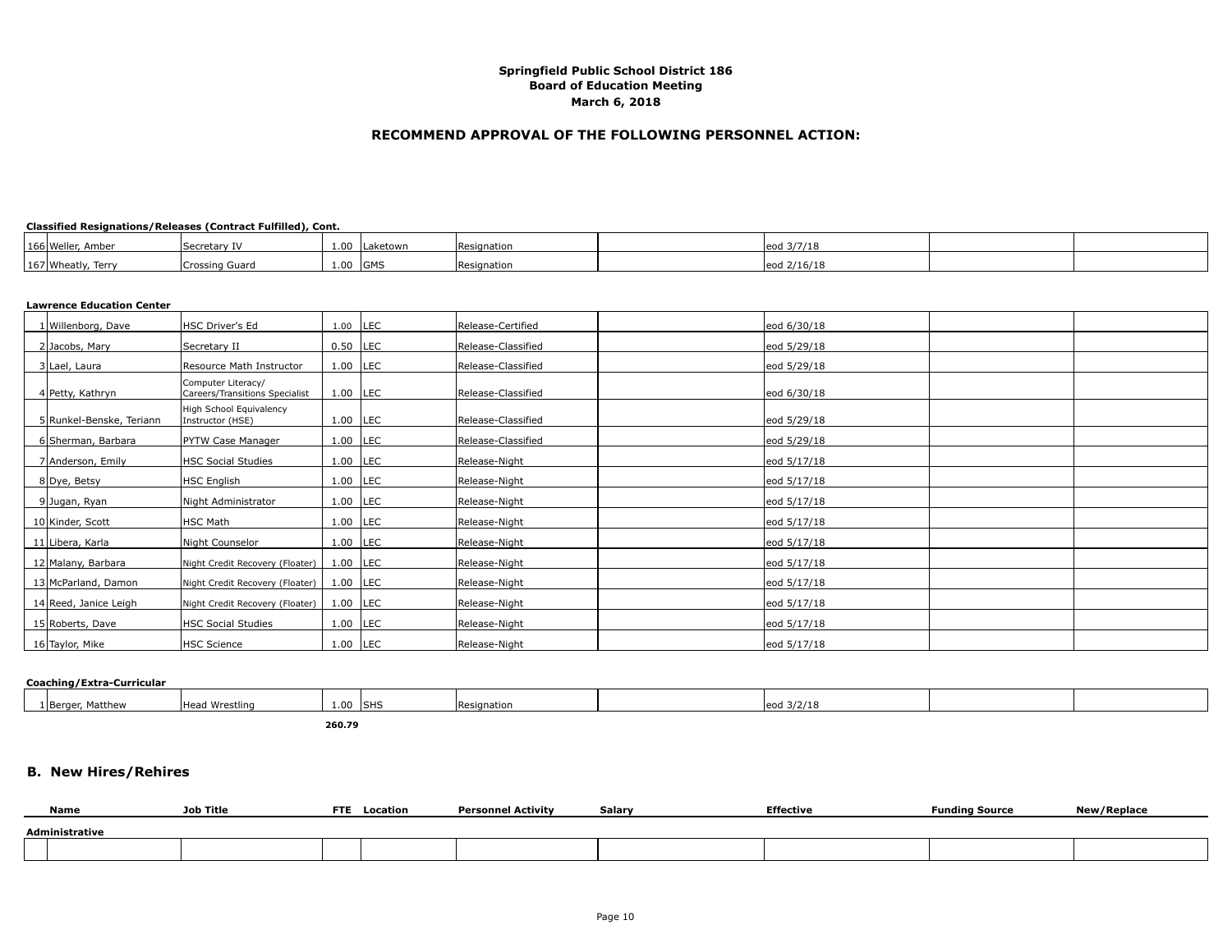## **RECOMMEND APPROVAL OF THE FOLLOWING PERSONNEL ACTION:**

#### **Classified Resignations/Releases (Contract Fulfilled), Cont.**

| 166 Weller, Amber  | Secretary IV | $\sim$<br><b>L.UU</b> | Laketown | <b>IResignation</b> | leod 3/7/18 |  |
|--------------------|--------------|-----------------------|----------|---------------------|-------------|--|
| 167 Wheatly, Terry | ssing Guard  | 1.00 GMS              |          | Resignation         | eod 2/16/18 |  |

#### **Lawrence Education Center**

| 1 Willenborg, Dave       | HSC Driver's Ed                                      | 1.00       | <b>LEC</b> | Release-Certified  | eod 6/30/18 |
|--------------------------|------------------------------------------------------|------------|------------|--------------------|-------------|
| 2 Jacobs, Mary           | Secretary II                                         | $0.50$ LEC |            | Release-Classified | eod 5/29/18 |
| 3 Lael, Laura            | Resource Math Instructor                             | $1.00$ LEC |            | Release-Classified | eod 5/29/18 |
| 4 Petty, Kathryn         | Computer Literacy/<br>Careers/Transitions Specialist | $1.00$ LEC |            | Release-Classified | eod 6/30/18 |
| 5 Runkel-Benske, Teriann | High School Equivalency<br>Instructor (HSE)          | $1.00$ LEC |            | Release-Classified | eod 5/29/18 |
| 6 Sherman, Barbara       | PYTW Case Manager                                    | $1.00$ LEC |            | Release-Classified | eod 5/29/18 |
| 7 Anderson, Emily        | HSC Social Studies                                   | $1.00$ LEC |            | Release-Night      | eod 5/17/18 |
| 8 Dye, Betsy             | HSC English                                          | $1.00$ LEC |            | Release-Night      | eod 5/17/18 |
| 9 Jugan, Ryan            | Night Administrator                                  | $1.00$ LEC |            | Release-Night      | eod 5/17/18 |
| 10 Kinder, Scott         | HSC Math                                             | $1.00$ LEC |            | Release-Night      | eod 5/17/18 |
| 11 Libera, Karla         | Night Counselor                                      | $1.00$ LEC |            | Release-Night      | eod 5/17/18 |
| 12 Malany, Barbara       | Night Credit Recovery (Floater)                      | $1.00$ LEC |            | Release-Night      | eod 5/17/18 |
| 13 McParland, Damon      | Night Credit Recovery (Floater)                      | $1.00$ LEC |            | Release-Night      | eod 5/17/18 |
| 14 Reed, Janice Leigh    | Night Credit Recovery (Floater)                      | $1.00$ LEC |            | Release-Night      | eod 5/17/18 |
| 15 Roberts, Dave         | HSC Social Studies                                   | $1.00$ LEC |            | Release-Night      | eod 5/17/18 |
| 16 Taylor, Mike          | <b>HSC Science</b>                                   | $1.00$ LEC |            | Release-Night      | eod 5/17/18 |

#### **Coaching/Extra-Curricular**

| eod 3/2/18<br>Matthew<br>Wrestling<br>$\sim$ $\sim$<br><b>ISHS</b><br><b>Heac</b><br>' IBerge.<br>. .<br>esignation<br>.<br><b>1.</b> 00<br>$-000$ |  |  |  |  |  |
|----------------------------------------------------------------------------------------------------------------------------------------------------|--|--|--|--|--|
|                                                                                                                                                    |  |  |  |  |  |

**260.79**

# **B. New Hires/Rehires**

| <b>Name</b>    | <b>Job Title</b> | <b>FTE</b> | Location | <b>Personnel Activity</b> | Salary | Effective | <b>Funding Source</b> | New/Replace |  |  |
|----------------|------------------|------------|----------|---------------------------|--------|-----------|-----------------------|-------------|--|--|
| Administrative |                  |            |          |                           |        |           |                       |             |  |  |
|                |                  |            |          |                           |        |           |                       |             |  |  |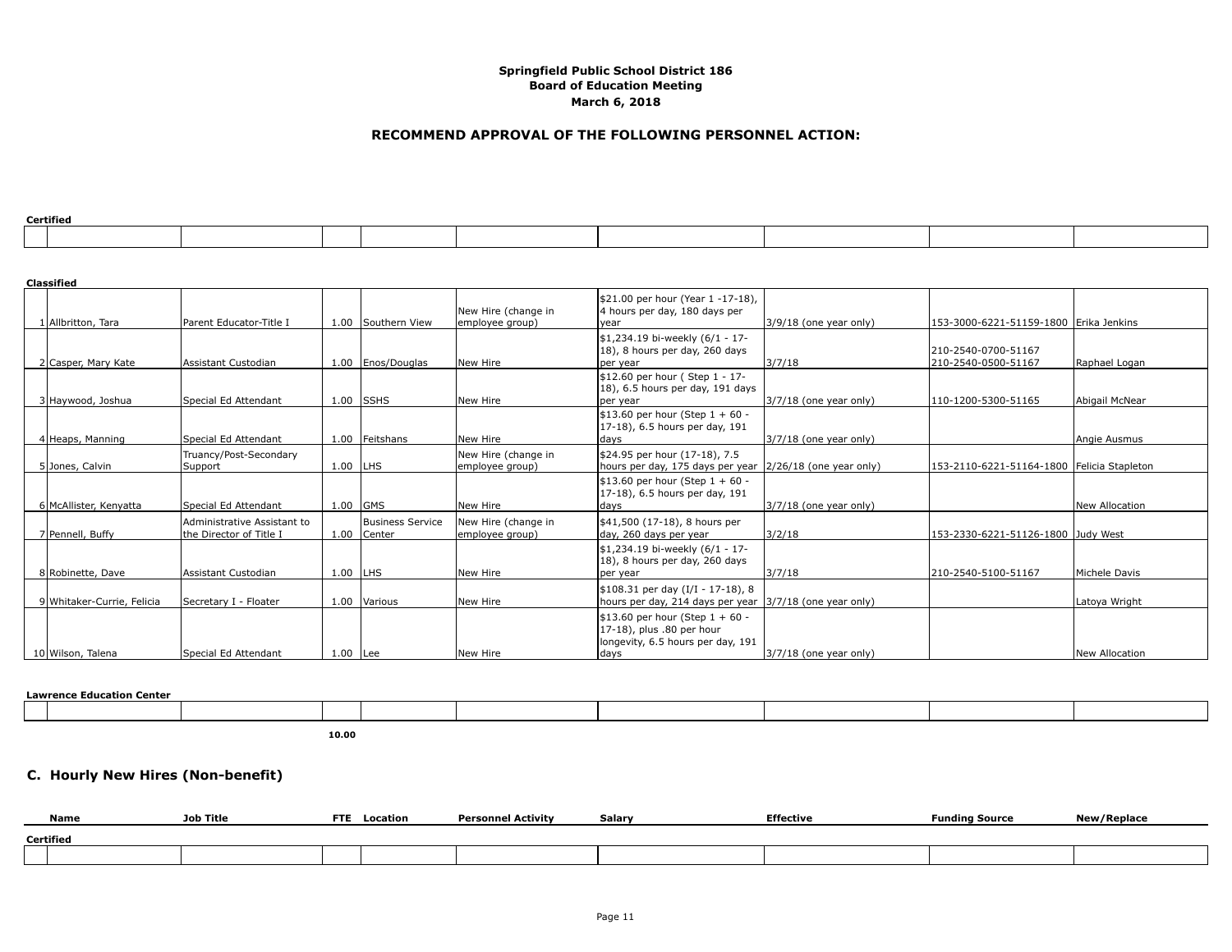## **RECOMMEND APPROVAL OF THE FOLLOWING PERSONNEL ACTION:**

| Certified |  |  |
|-----------|--|--|
|           |  |  |

| certified |  |  |  |  |  |  |  |  |  |  |  |
|-----------|--|--|--|--|--|--|--|--|--|--|--|
|           |  |  |  |  |  |  |  |  |  |  |  |
|           |  |  |  |  |  |  |  |  |  |  |  |
|           |  |  |  |  |  |  |  |  |  |  |  |
|           |  |  |  |  |  |  |  |  |  |  |  |

| <b>Classified</b>          |                                                        |            |                                        |                                        |                                                                                                             |                            |                                            |                       |
|----------------------------|--------------------------------------------------------|------------|----------------------------------------|----------------------------------------|-------------------------------------------------------------------------------------------------------------|----------------------------|--------------------------------------------|-----------------------|
| 1 Allbritton, Tara         | Parent Educator-Title I                                |            | 1.00 Southern View                     | New Hire (change in<br>employee group) | \$21.00 per hour (Year 1 -17-18),<br>4 hours per day, 180 days per<br>year                                  | 3/9/18 (one year only)     | 153-3000-6221-51159-1800  Erika Jenkins    |                       |
| 2 Casper, Mary Kate        | Assistant Custodian                                    |            | 1.00   Enos/Douglas                    | New Hire                               | \$1,234.19 bi-weekly (6/1 - 17-<br>18), 8 hours per day, 260 days<br>per year                               | 3/7/18                     | 210-2540-0700-51167<br>210-2540-0500-51167 | Raphael Logan         |
| 3 Haywood, Joshua          | Special Ed Attendant                                   |            | $1.00$ SSHS                            | New Hire                               | \$12.60 per hour (Step 1 - 17-<br>18), 6.5 hours per day, 191 days<br>per year                              | 3/7/18 (one year only)     | 110-1200-5300-51165                        | Abigail McNear        |
| 4 Heaps, Manning           | Special Ed Attendant                                   |            | 1.00 Feitshans                         | New Hire                               | \$13.60 per hour (Step $1 + 60 -$<br>17-18), 6.5 hours per day, 191<br>days                                 | $3/7/18$ (one year only)   |                                            | Angie Ausmus          |
| 5 Jones, Calvin            | Truancy/Post-Secondary<br>Support                      | $1.00$ LHS |                                        | New Hire (change in<br>employee group) | \$24.95 per hour (17-18), 7.5<br>hours per day, 175 days per year                                           | $ 2/26/18$ (one year only) | 153-2110-6221-51164-1800 Felicia Stapleton |                       |
| 6 McAllister, Kenyatta     | Special Ed Attendant                                   |            | $1.00$ GMS                             | New Hire                               | \$13.60 per hour (Step $1 + 60 -$<br>17-18), 6.5 hours per day, 191<br>days                                 | $3/7/18$ (one year only)   |                                            | New Allocation        |
| 7 Pennell, Buffy           | Administrative Assistant to<br>the Director of Title I |            | <b>Business Service</b><br>1.00 Center | New Hire (change in<br>employee group) | \$41,500 (17-18), 8 hours per<br>day, 260 days per year                                                     | 3/2/18                     | 153-2330-6221-51126-1800 Judy West         |                       |
| 8 Robinette, Dave          | Assistant Custodian                                    | 1.00 LHS   |                                        | New Hire                               | \$1,234.19 bi-weekly (6/1 - 17-<br>18), 8 hours per day, 260 days<br>per year                               | 3/7/18                     | 210-2540-5100-51167                        | Michele Davis         |
| 9 Whitaker-Currie, Felicia | Secretary I - Floater                                  |            | 1.00 Various                           | New Hire                               | \$108.31 per day (I/I - 17-18), 8<br>hours per day, 214 days per year 3/7/18 (one year only)                |                            |                                            | Latoya Wright         |
| 10 Wilson, Talena          | Special Ed Attendant                                   | $1.00$ Lee |                                        | New Hire                               | \$13.60 per hour (Step $1 + 60 -$<br>17-18), plus .80 per hour<br>longevity, 6.5 hours per day, 191<br>days | 3/7/18 (one year only)     |                                            | <b>New Allocation</b> |

#### **Lawrence Education Center**

**10.00**

## **C. Hourly New Hires (Non-benefit)**

| Name      | Job Title | <b>FTE</b> | Location | <b>Personnel Activity</b> | Salary | <b>Effective</b> | <b>Funding Source</b> | w/Replace |  |
|-----------|-----------|------------|----------|---------------------------|--------|------------------|-----------------------|-----------|--|
| Certified |           |            |          |                           |        |                  |                       |           |  |
|           |           |            |          |                           |        |                  |                       |           |  |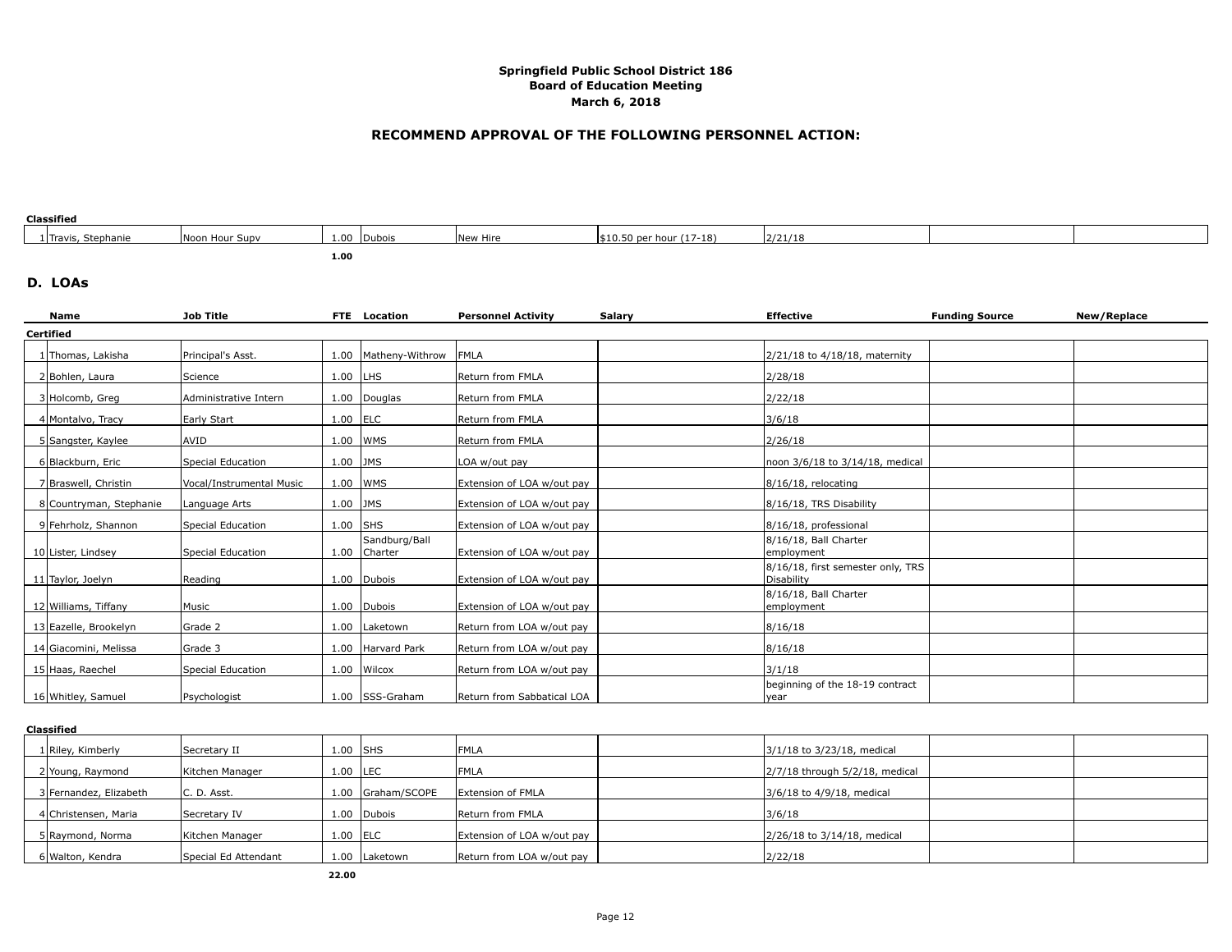## **RECOMMEND APPROVAL OF THE FOLLOWING PERSONNEL ACTION:**

## **Classified**

| 1 Travis, Stephanie | Noon Hour Supy | $\sim$ $\sim$<br>⊥.∪∪ | Dubois | <b>INew Hire</b> | $ $10.50$ per hour $(17-18)$ | 2/21/18 |  |
|---------------------|----------------|-----------------------|--------|------------------|------------------------------|---------|--|
|                     |                | 1.00                  |        |                  |                              |         |  |

## **D. LOAs**

| Name                    | <b>Job Title</b>         |            | <b>FTE</b> Location           | <b>Personnel Activity</b>  | Salarv | <b>Effective</b>                                | <b>Funding Source</b> | New/Replace |
|-------------------------|--------------------------|------------|-------------------------------|----------------------------|--------|-------------------------------------------------|-----------------------|-------------|
| <b>Certified</b>        |                          |            |                               |                            |        |                                                 |                       |             |
| 1 Thomas, Lakisha       | Principal's Asst.        |            | 1.00   Matheny-Withrow        | <b>FMLA</b>                |        | 2/21/18 to 4/18/18, maternity                   |                       |             |
| 2 Bohlen, Laura         | Science                  | $1.00$ LHS |                               | Return from FMLA           |        | 2/28/18                                         |                       |             |
| 3 Holcomb, Greg         | Administrative Intern    |            | 1.00 Douglas                  | Return from FMLA           |        | 2/22/18                                         |                       |             |
| 4 Montalvo, Tracy       | Early Start              | $1.00$ ELC |                               | Return from FMLA           |        | 3/6/18                                          |                       |             |
| 5 Sangster, Kaylee      | AVID                     |            | 1.00 WMS                      | Return from FMLA           |        | 2/26/18                                         |                       |             |
| 6 Blackburn, Eric       | Special Education        | $1.00$ JMS |                               | LOA w/out pay              |        | noon 3/6/18 to 3/14/18, medical                 |                       |             |
| 7 Braswell, Christin    | Vocal/Instrumental Music |            | 1.00 WMS                      | Extension of LOA w/out pay |        | 8/16/18, relocating                             |                       |             |
| 8 Countryman, Stephanie | Language Arts            | $1.00$ JMS |                               | Extension of LOA w/out pay |        | 8/16/18, TRS Disability                         |                       |             |
| 9 Fehrholz, Shannon     | Special Education        | $1.00$ SHS |                               | Extension of LOA w/out pay |        | 8/16/18, professional                           |                       |             |
| 10 Lister, Lindsey      | Special Education        |            | Sandburg/Ball<br>1.00 Charter | Extension of LOA w/out pay |        | 8/16/18, Ball Charter<br>lemplovment            |                       |             |
| 11 Taylor, Joelyn       | Reading                  |            | 1.00 Dubois                   | Extension of LOA w/out pay |        | 8/16/18, first semester only, TRS<br>Disability |                       |             |
| 12 Williams, Tiffany    | <b>Music</b>             |            | 1.00 Dubois                   | Extension of LOA w/out pay |        | 8/16/18, Ball Charter<br>employment             |                       |             |
| 13 Eazelle, Brookelyn   | Grade 2                  |            | 1.00 Laketown                 | Return from LOA w/out pay  |        | 8/16/18                                         |                       |             |
| 14 Giacomini, Melissa   | Grade 3                  |            | 1.00 Harvard Park             | Return from LOA w/out pay  |        | 8/16/18                                         |                       |             |
| 15 Haas, Raechel        | Special Education        |            | 1.00 Wilcox                   | Return from LOA w/out pay  |        | 3/1/18                                          |                       |             |
| 16 Whitley, Samuel      | Psychologist             |            | 1.00 SSS-Graham               | Return from Sabbatical LOA |        | beginning of the 18-19 contract<br>vear         |                       |             |

#### **Classified**

| 1 Riley, Kimberly      | Secretary II         | $1.00$ SHS |                | <b>IFMLA</b>               | 3/1/18 to 3/23/18, medical          |  |
|------------------------|----------------------|------------|----------------|----------------------------|-------------------------------------|--|
| 2 Young, Raymond       | Kitchen Manager      | 1.00       | LEC            | <b>IFMLA</b>               | $2/7/18$ through $5/2/18$ , medical |  |
| 3 Fernandez, Elizabeth | IC. D. Asst.         | 1.00       | Graham/SCOPE   | Extension of FMLA          | 3/6/18 to 4/9/18, medical           |  |
| 4 Christensen, Maria   | Secretary IV         | 1.00       | <b>IDubois</b> | Return from FMLA           | 3/6/18                              |  |
| 5 Raymond, Norma       | Kitchen Manager      | $1.00$ ELC |                | Extension of LOA w/out pay | 2/26/18 to 3/14/18, medical         |  |
| 6 Walton, Kendra       | Special Ed Attendant | 1.00       | Laketown       | Return from LOA w/out pay  | 2/22/18                             |  |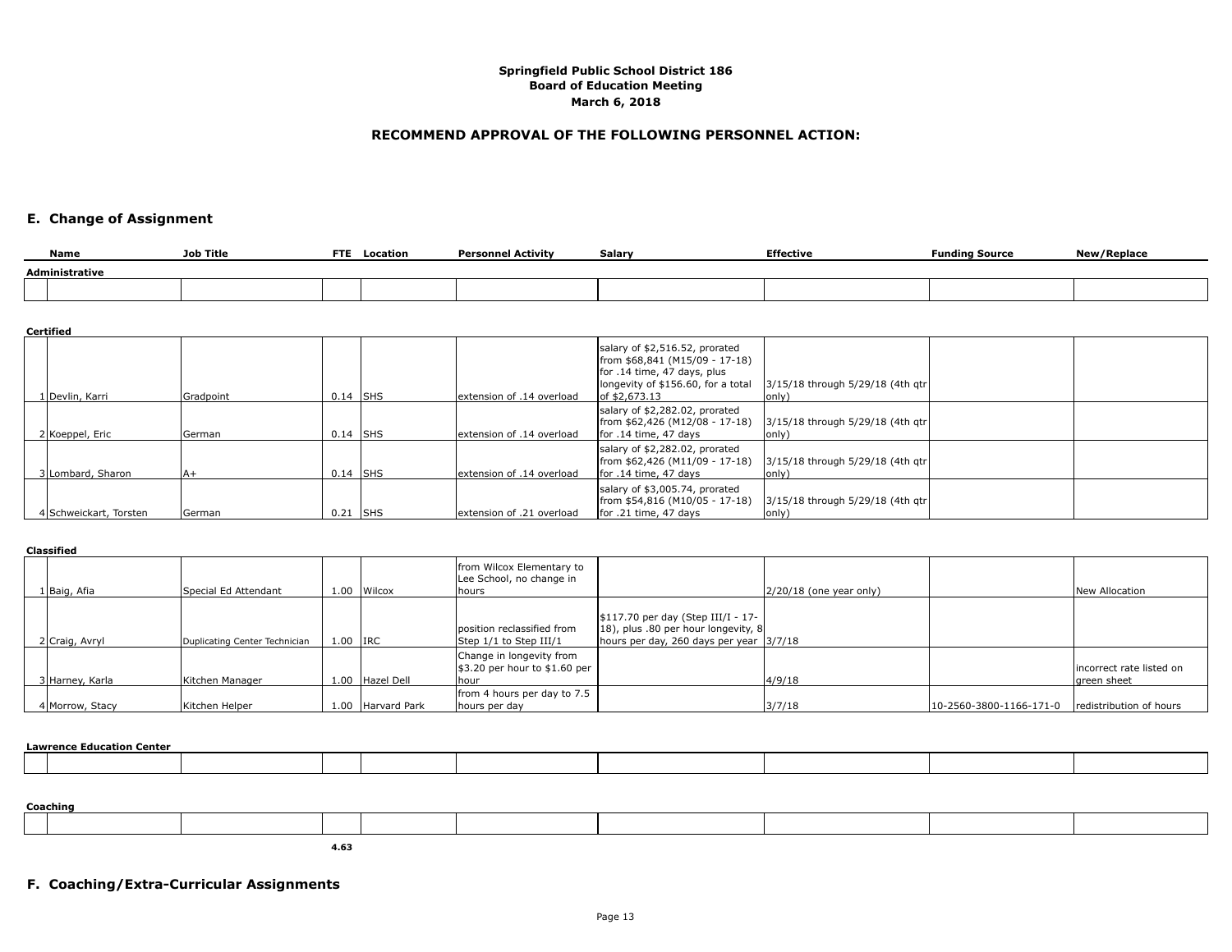## **RECOMMEND APPROVAL OF THE FOLLOWING PERSONNEL ACTION:**

# **E. Change of Assignment**

| Name           | Job Title | <b>FTE</b> | Location | <b>Personnel Activity</b> | Salary | <b>Effective</b> | <b>Funding Source</b> | New/Replace |  |  |
|----------------|-----------|------------|----------|---------------------------|--------|------------------|-----------------------|-------------|--|--|
| Administrative |           |            |          |                           |        |                  |                       |             |  |  |
|                |           |            |          |                           |        |                  |                       |             |  |  |

#### **Certified**

|                        |           |            |                            | salary of \$2,516.52, prorated<br>from \$68,841 (M15/09 - 17-18)<br>for .14 time, 47 days, plus<br>longevity of \$156.60, for a total | 3/15/18 through 5/29/18 (4th gtr           |  |
|------------------------|-----------|------------|----------------------------|---------------------------------------------------------------------------------------------------------------------------------------|--------------------------------------------|--|
| 1   Devlin, Karri      | Gradpoint | $0.14$ SHS | lextension of .14 overload | of \$2,673.13                                                                                                                         | lonly)                                     |  |
| 2 Koeppel, Eric        | lGerman   | $0.14$ SHS | lextension of .14 overload | salary of \$2,282.02, prorated<br>[from \$62,426 (M12/08 - 17-18)<br>for .14 time, 47 days                                            | 3/15/18 through 5/29/18 (4th gtr<br>lonlv` |  |
| 3 Lombard, Sharon      | lA+       | $0.14$ SHS | lextension of .14 overload | salary of \$2,282.02, prorated<br>from \$62,426 (M11/09 - 17-18)<br>for .14 time, 47 days                                             | 3/15/18 through 5/29/18 (4th gtr<br>lonivi |  |
| 4 Schweickart, Torsten | lGerman   | $0.21$ SHS | lextension of .21 overload | salary of \$3,005.74, prorated<br>from \$54,816 (M10/05 - 17-18)<br>for .21 time, 47 days                                             | 3/15/18 through 5/29/18 (4th qtr           |  |

#### **Classified**

| 1 Baig, Afia    | Special Ed Attendant          | 1.00     | Wilcox       | from Wilcox Elementary to<br>Lee School, no change in<br>hours                |                                                                                                                        | $ 2/20/18$ (one year only) |                         | New Allocation                          |
|-----------------|-------------------------------|----------|--------------|-------------------------------------------------------------------------------|------------------------------------------------------------------------------------------------------------------------|----------------------------|-------------------------|-----------------------------------------|
| 2 Craig, Avryl  | Duplicating Center Technician | 1.00 IRC |              | position reclassified from<br>Step 1/1 to Step III/1                          | \$117.70 per day (Step III/I - 17-<br>[18], plus .80 per hour longevity, 8<br>hours per day, 260 days per year 13/7/18 |                            |                         |                                         |
| 3 Harney, Karla | Kitchen Manager               | 1.00     | Hazel Dell   | Change in longevity from<br>$\frac{1}{3}$ .20 per hour to \$1.60 per<br>lhour |                                                                                                                        | 4/9/18                     |                         | incorrect rate listed on<br>areen sheet |
| 4 Morrow, Stacy | Kitchen Helper                | 1.00     | Harvard Park | from 4 hours per day to 7.5<br>hours per day                                  |                                                                                                                        | 3/7/18                     | 10-2560-3800-1166-171-0 | redistribution of hours                 |

#### **Lawrence Education Center**

|  | Coaching |  |  |  |  |  |  |  |  |  |
|--|----------|--|--|--|--|--|--|--|--|--|
|  |          |  |  |  |  |  |  |  |  |  |

**4.63**

# **F. Coaching/Extra-Curricular Assignments**